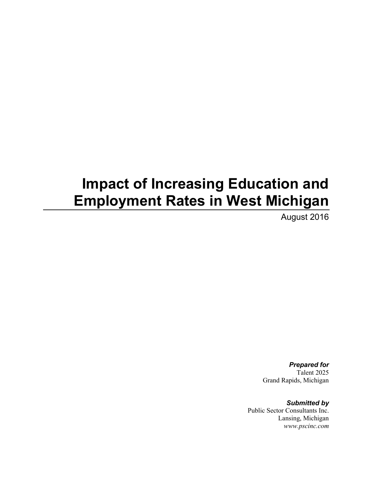# **Impact of Increasing Education and Employment Rates in West Michigan**

August 2016

*Prepared for* Talent 2025 Grand Rapids, Michigan

*Submitted by* Public Sector Consultants Inc. Lansing, Michigan *www.pscinc.com*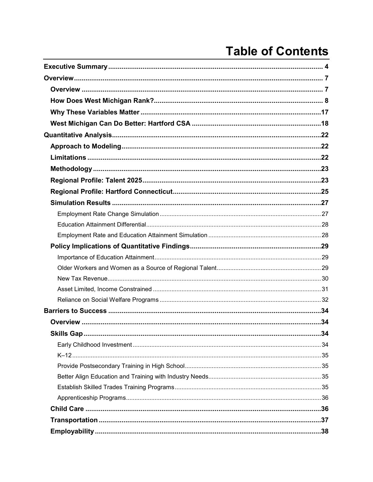# **Table of Contents**

| <b>Skills Gap.</b> | .34 |
|--------------------|-----|
|                    |     |
|                    |     |
|                    |     |
|                    |     |
|                    |     |
|                    |     |
|                    |     |
|                    |     |
|                    |     |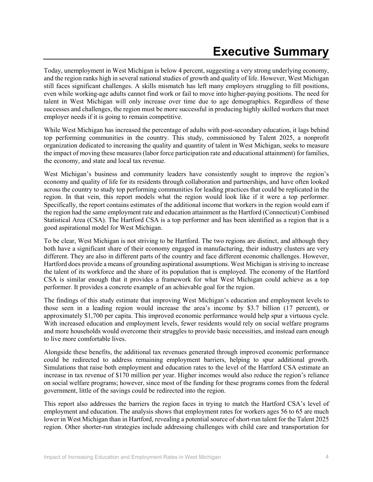Today, unemployment in West Michigan is below 4 percent, suggesting a very strong underlying economy, and the region ranks high in several national studies of growth and quality of life. However, West Michigan still faces significant challenges. A skills mismatch has left many employers struggling to fill positions, even while working-age adults cannot find work or fail to move into higher-paying positions. The need for talent in West Michigan will only increase over time due to age demographics. Regardless of these successes and challenges, the region must be more successful in producing highly skilled workers that meet employer needs if it is going to remain competitive.

While West Michigan has increased the percentage of adults with post-secondary education, it lags behind top performing communities in the country. This study, commissioned by Talent 2025, a nonprofit organization dedicated to increasing the quality and quantity of talent in West Michigan, seeks to measure the impact of moving these measures (labor force participation rate and educational attainment) for families, the economy, and state and local tax revenue.

West Michigan's business and community leaders have consistently sought to improve the region's economy and quality of life for its residents through collaboration and partnerships, and have often looked across the country to study top performing communities for leading practices that could be replicated in the region. In that vein, this report models what the region would look like if it were a top performer. Specifically, the report contains estimates of the additional income that workers in the region would earn if the region had the same employment rate and education attainment as the Hartford (Connecticut) Combined Statistical Area (CSA). The Hartford CSA is a top performer and has been identified as a region that is a good aspirational model for West Michigan.

To be clear, West Michigan is not striving to be Hartford. The two regions are distinct, and although they both have a significant share of their economy engaged in manufacturing, their industry clusters are very different. They are also in different parts of the country and face different economic challenges. However, Hartford does provide a means of grounding aspirational assumptions. West Michigan is striving to increase the talent of its workforce and the share of its population that is employed. The economy of the Hartford CSA is similar enough that it provides a framework for what West Michigan could achieve as a top performer. It provides a concrete example of an achievable goal for the region.

The findings of this study estimate that improving West Michigan's education and employment levels to those seen in a leading region would increase the area's income by \$3.7 billion (17 percent), or approximately \$1,700 per capita. This improved economic performance would help spur a virtuous cycle. With increased education and employment levels, fewer residents would rely on social welfare programs and more households would overcome their struggles to provide basic necessities, and instead earn enough to live more comfortable lives.

Alongside these benefits, the additional tax revenues generated through improved economic performance could be redirected to address remaining employment barriers, helping to spur additional growth. Simulations that raise both employment and education rates to the level of the Hartford CSA estimate an increase in tax revenue of \$170 million per year. Higher incomes would also reduce the region's reliance on social welfare programs; however, since most of the funding for these programs comes from the federal government, little of the savings could be redirected into the region.

This report also addresses the barriers the region faces in trying to match the Hartford CSA's level of employment and education. The analysis shows that employment rates for workers ages 56 to 65 are much lower in West Michigan than in Hartford, revealing a potential source of short-run talent for the Talent 2025 region. Other shorter-run strategies include addressing challenges with child care and transportation for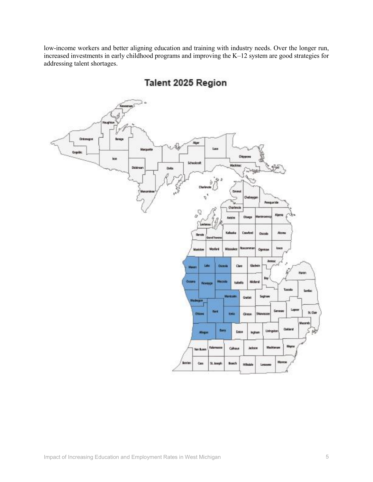low-income workers and better aligning education and training with industry needs. Over the longer run, increased investments in early childhood programs and improving the K–12 system are good strategies for addressing talent shortages.



Talent 2025 Region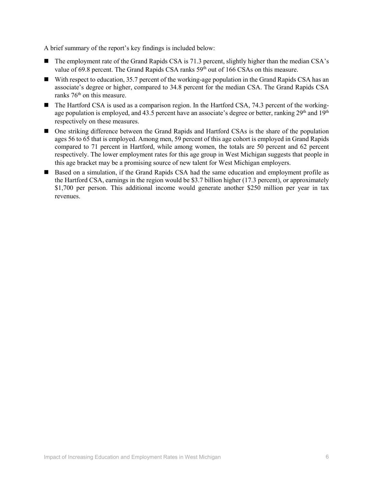A brief summary of the report's key findings is included below:

- The employment rate of the Grand Rapids CSA is 71.3 percent, slightly higher than the median CSA's value of 69.8 percent. The Grand Rapids CSA ranks  $59<sup>th</sup>$  out of 166 CSAs on this measure.
- With respect to education, 35.7 percent of the working-age population in the Grand Rapids CSA has an associate's degree or higher, compared to 34.8 percent for the median CSA. The Grand Rapids CSA ranks 76<sup>th</sup> on this measure.
- The Hartford CSA is used as a comparison region. In the Hartford CSA, 74.3 percent of the workingage population is employed, and 43.5 percent have an associate's degree or better, ranking 29<sup>th</sup> and 19<sup>th</sup> respectively on these measures.
- One striking difference between the Grand Rapids and Hartford CSAs is the share of the population ages 56 to 65 that is employed. Among men, 59 percent of this age cohort is employed in Grand Rapids compared to 71 percent in Hartford, while among women, the totals are 50 percent and 62 percent respectively. The lower employment rates for this age group in West Michigan suggests that people in this age bracket may be a promising source of new talent for West Michigan employers.
- Based on a simulation, if the Grand Rapids CSA had the same education and employment profile as the Hartford CSA, earnings in the region would be \$3.7 billion higher (17.3 percent), or approximately \$1,700 per person. This additional income would generate another \$250 million per year in tax revenues.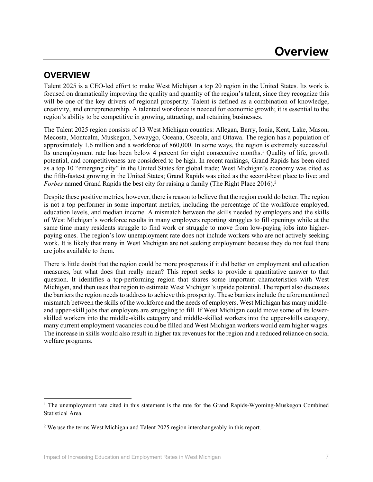## **OVERVIEW**

 $\overline{\phantom{a}}$ 

Talent 2025 is a CEO-led effort to make West Michigan a top 20 region in the United States. Its work is focused on dramatically improving the quality and quantity of the region's talent, since they recognize this will be one of the key drivers of regional prosperity. Talent is defined as a combination of knowledge, creativity, and entrepreneurship. A talented workforce is needed for economic growth; it is essential to the region's ability to be competitive in growing, attracting, and retaining businesses.

The Talent 2025 region consists of 13 West Michigan counties: Allegan, Barry, Ionia, Kent, Lake, Mason, Mecosta, Montcalm, Muskegon, Newaygo, Oceana, Osceola, and Ottawa. The region has a population of approximately 1.6 million and a workforce of 860,000. In some ways, the region is extremely successful. Its unemployment rate has been below 4 percent for eight consecutive months.<sup>1</sup> Quality of life, growth potential, and competitiveness are considered to be high. In recent rankings, Grand Rapids has been cited as a top 10 "emerging city" in the United States for global trade; West Michigan's economy was cited as the fifth-fastest growing in the United States; Grand Rapids was cited as the second-best place to live; and *Forbes* named Grand Rapids the best city for raising a family (The Right Place 2016).<sup>2</sup>

Despite these positive metrics, however, there is reason to believe that the region could do better. The region is not a top performer in some important metrics, including the percentage of the workforce employed, education levels, and median income. A mismatch between the skills needed by employers and the skills of West Michigan's workforce results in many employers reporting struggles to fill openings while at the same time many residents struggle to find work or struggle to move from low-paying jobs into higherpaying ones. The region's low unemployment rate does not include workers who are not actively seeking work. It is likely that many in West Michigan are not seeking employment because they do not feel there are jobs available to them.

There is little doubt that the region could be more prosperous if it did better on employment and education measures, but what does that really mean? This report seeks to provide a quantitative answer to that question. It identifies a top-performing region that shares some important characteristics with West Michigan, and then uses that region to estimate West Michigan's upside potential. The report also discusses the barriers the region needs to address to achieve this prosperity. These barriers include the aforementioned mismatch between the skills of the workforce and the needs of employers. West Michigan has many middleand upper-skill jobs that employers are struggling to fill. If West Michigan could move some of its lowerskilled workers into the middle-skills category and middle-skilled workers into the upper-skills category, many current employment vacancies could be filled and West Michigan workers would earn higher wages. The increase in skills would also result in higher tax revenues for the region and a reduced reliance on social welfare programs.

<sup>&</sup>lt;sup>1</sup> The unemployment rate cited in this statement is the rate for the Grand Rapids-Wyoming-Muskegon Combined Statistical Area.

<sup>&</sup>lt;sup>2</sup> We use the terms West Michigan and Talent 2025 region interchangeably in this report.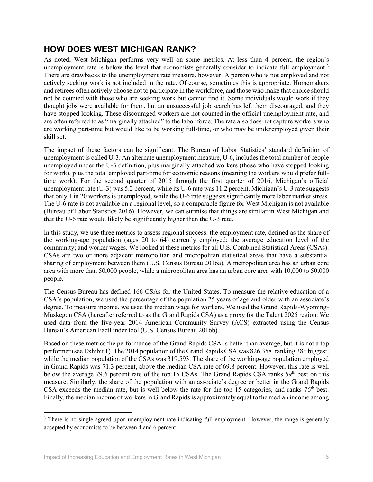## **HOW DOES WEST MICHIGAN RANK?**

As noted, West Michigan performs very well on some metrics. At less than 4 percent, the region's unemployment rate is below the level that economists generally consider to indicate full employment.<sup>3</sup> There are drawbacks to the unemployment rate measure, however. A person who is not employed and not actively seeking work is not included in the rate. Of course, sometimes this is appropriate. Homemakers and retirees often actively choose not to participate in the workforce, and those who make that choice should not be counted with those who are seeking work but cannot find it. Some individuals would work if they thought jobs were available for them, but an unsuccessful job search has left them discouraged, and they have stopped looking. These discouraged workers are not counted in the official unemployment rate, and are often referred to as "marginally attached" to the labor force. The rate also does not capture workers who are working part-time but would like to be working full-time, or who may be underemployed given their skill set.

The impact of these factors can be significant. The Bureau of Labor Statistics' standard definition of unemployment is called U-3. An alternate unemployment measure, U-6, includes the total number of people unemployed under the U-3 definition, plus marginally attached workers (those who have stopped looking for work), plus the total employed part-time for economic reasons (meaning the workers would prefer fulltime work). For the second quarter of 2015 through the first quarter of 2016, Michigan's official unemployment rate (U-3) was 5.2 percent, while its U-6 rate was 11.2 percent. Michigan's U-3 rate suggests that only 1 in 20 workers is unemployed, while the U-6 rate suggests significantly more labor market stress. The U-6 rate is not available on a regional level, so a comparable figure for West Michigan is not available (Bureau of Labor Statistics 2016). However, we can surmise that things are similar in West Michigan and that the U-6 rate would likely be significantly higher than the U-3 rate.

In this study, we use three metrics to assess regional success: the employment rate, defined as the share of the working-age population (ages 20 to 64) currently employed; the average education level of the community; and worker wages. We looked at these metrics for all U.S. Combined Statistical Areas (CSAs). CSAs are two or more adjacent metropolitan and micropolitan statistical areas that have a substantial sharing of employment between them (U.S. Census Bureau 2016a). A metropolitan area has an urban core area with more than 50,000 people, while a micropolitan area has an urban core area with 10,000 to 50,000 people.

The Census Bureau has defined 166 CSAs for the United States. To measure the relative education of a CSA's population, we used the percentage of the population 25 years of age and older with an associate's degree. To measure income, we used the median wage for workers. We used the Grand Rapids-Wyoming-Muskegon CSA (hereafter referred to as the Grand Rapids CSA) as a proxy for the Talent 2025 region. We used data from the five-year 2014 American Community Survey (ACS) extracted using the Census Bureau's American FactFinder tool (U.S. Census Bureau 2016b).

Based on these metrics the performance of the Grand Rapids CSA is better than average, but it is not a top performer (see Exhibit 1). The 2014 population of the Grand Rapids CSA was 826,358, ranking 38<sup>th</sup> biggest, while the median population of the CSAs was 319,593. The share of the working-age population employed in Grand Rapids was 71.3 percent, above the median CSA rate of 69.8 percent. However, this rate is well below the average 79.6 percent rate of the top 15 CSAs. The Grand Rapids CSA ranks 59<sup>th</sup> best on this measure. Similarly, the share of the population with an associate's degree or better in the Grand Rapids CSA exceeds the median rate, but is well below the rate for the top 15 categories, and ranks 76<sup>th</sup> best. Finally, the median income of workers in Grand Rapids is approximately equal to the median income among

 $\overline{\phantom{a}}$ 

<sup>&</sup>lt;sup>3</sup> There is no single agreed upon unemployment rate indicating full employment. However, the range is generally accepted by economists to be between 4 and 6 percent.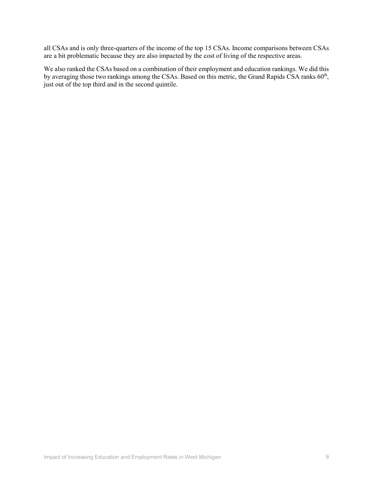all CSAs and is only three-quarters of the income of the top 15 CSAs. Income comparisons between CSAs are a bit problematic because they are also impacted by the cost of living of the respective areas.

We also ranked the CSAs based on a combination of their employment and education rankings. We did this by averaging those two rankings among the CSAs. Based on this metric, the Grand Rapids CSA ranks 60<sup>th</sup>, just out of the top third and in the second quintile.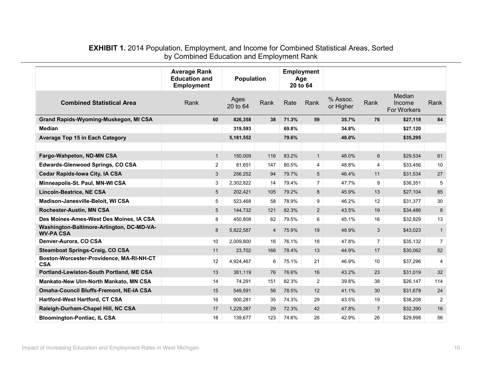#### **EXHIBIT 1.** 2014 Population, Employment, and Income for Combined Statistical Areas, Sorted by Combined Education and Employment Rank

|                                                               | <b>Average Rank</b><br><b>Education and</b><br><b>Employment</b> | <b>Employment</b><br>Population<br>Age<br>20 to 64 |      |       |                |                       |                |                                 |                |
|---------------------------------------------------------------|------------------------------------------------------------------|----------------------------------------------------|------|-------|----------------|-----------------------|----------------|---------------------------------|----------------|
| <b>Combined Statistical Area</b>                              | Rank                                                             | Ages<br>20 to 64                                   | Rank | Rate  | Rank           | % Assoc.<br>or Higher | Rank           | Median<br>Income<br>For Workers | Rank           |
| Grand Rapids-Wyoming-Muskegon, MI CSA                         | 60                                                               | 826,358                                            | 38   | 71.3% | 59             | 35.7%                 | 76             | \$27,118                        | 84             |
| <b>Median</b>                                                 |                                                                  | 319,593                                            |      | 69.8% |                | 34.8%                 |                | \$27,120                        |                |
| <b>Average Top 15 in Each Category</b>                        |                                                                  | 5,181,552                                          |      | 79.6% |                | 48.0%                 |                | \$35,295                        |                |
|                                                               |                                                                  |                                                    |      |       |                |                       |                |                                 |                |
| Fargo-Wahpeton, ND-MN CSA                                     | $\mathbf{1}$                                                     | 150,009                                            | 116  | 83.2% | $\mathbf{1}$   | 48.0%                 | 6              | \$29,534                        | 61             |
| <b>Edwards-Glenwood Springs, CO CSA</b>                       | $\overline{2}$                                                   | 81,651                                             | 147  | 80.5% | $\overline{4}$ | 48.8%                 | $\overline{4}$ | \$33,456                        | 10             |
| <b>Cedar Rapids-Iowa City, IA CSA</b>                         | 3                                                                | 256,252                                            | 94   | 79.7% | 5              | 46.4%                 | 11             | \$31,534                        | 27             |
| Minneapolis-St. Paul, MN-WI CSA                               | 3                                                                | 2,302,822                                          | 14   | 79.4% | $\overline{7}$ | 47.7%                 | 9              | \$36,351                        | 5              |
| <b>Lincoln-Beatrice, NE CSA</b>                               | 5                                                                | 202,421                                            | 105  | 79.2% | 8              | 45.9%                 | 13             | \$27,104                        | 85             |
| Madison-Janesville-Beloit, WI CSA                             | 5                                                                | 523,468                                            | 58   | 78.9% | 9              | 46.2%                 | 12             | \$31,377                        | 30             |
| Rochester-Austin, MN CSA                                      | 5                                                                | 144,732                                            | 121  | 82.3% | $\overline{2}$ | 43.5%                 | 19             | \$34,486                        | 8              |
| Des Moines-Ames-West Des Moines, IA CSA                       | 8                                                                | 450.808                                            | 62   | 79.5% | 6              | 45.1%                 | 16             | \$32,829                        | 13             |
| Washington-Baltimore-Arlington, DC-MD-VA-<br><b>WV-PA CSA</b> | 8                                                                | 5,822,587                                          | 4    | 75.9% | 19             | 48.9%                 | 3              | \$43,023                        | $\mathbf{1}$   |
| Denver-Aurora, CO CSA                                         | 10                                                               | 2,009,800                                          | 16   | 76.1% | 18             | 47.8%                 | $\overline{7}$ | \$35,132                        | $\overline{7}$ |
| <b>Steamboat Springs-Craig, CO CSA</b>                        | 11                                                               | 23,702                                             | 166  | 78.4% | 13             | 44.9%                 | 17             | \$30,062                        | 52             |
| Boston-Worcester-Providence, MA-RI-NH-CT<br><b>CSA</b>        | 12                                                               | 4,924,467                                          | 6    | 75.1% | 21             | 46.9%                 | 10             | \$37,296                        | 4              |
| Portland-Lewiston-South Portland, ME CSA                      | 13                                                               | 381,119                                            | 76   | 76.6% | 16             | 43.2%                 | 23             | \$31,019                        | 32             |
| Mankato-New Ulm-North Mankato, MN CSA                         | 14                                                               | 74,291                                             | 151  | 82.3% | $\overline{2}$ | 39.8%                 | 38             | \$26,147                        | 114            |
| <b>Omaha-Council Bluffs-Fremont, NE-IA CSA</b>                | 15                                                               | 549,591                                            | 56   | 78.5% | 12             | 41.1%                 | 30             | \$31,678                        | 24             |
| Hartford-West Hartford, CT CSA                                | 16                                                               | 900,281                                            | 35   | 74.3% | 29             | 43.5%                 | 19             | \$38,208                        | 2              |
| Raleigh-Durham-Chapel Hill, NC CSA                            | 17                                                               | 1,229,387                                          | 29   | 72.3% | 42             | 47.8%                 | $\overline{7}$ | \$32,390                        | 16             |
| <b>Bloomington-Pontiac, IL CSA</b>                            | 18                                                               | 139,677                                            | 123  | 74.6% | 26             | 42.9%                 | 26             | \$29,998                        | 56             |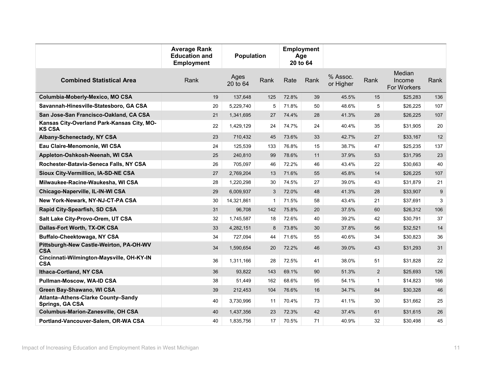|                                                             | <b>Average Rank</b><br><b>Education and</b><br><b>Employment</b> | <b>Population</b> |             | <b>Employment</b><br>Age<br>20 to 64 |      |                       |              |                                 |                |
|-------------------------------------------------------------|------------------------------------------------------------------|-------------------|-------------|--------------------------------------|------|-----------------------|--------------|---------------------------------|----------------|
| <b>Combined Statistical Area</b>                            | Rank                                                             | Ages<br>20 to 64  | Rank        | Rate                                 | Rank | % Assoc.<br>or Higher | Rank         | Median<br>Income<br>For Workers | Rank           |
| Columbia-Moberly-Mexico, MO CSA                             | 19                                                               | 137,648           | 125         | 72.8%                                | 39   | 45.5%                 | 15           | \$25,283                        | 136            |
| Savannah-Hinesville-Statesboro, GA CSA                      | 20                                                               | 5,229,740         | 5           | 71.8%                                | 50   | 48.6%                 | 5            | \$26,225                        | 107            |
| San Jose-San Francisco-Oakland, CA CSA                      | 21                                                               | 1,341,695         | 27          | 74.4%                                | 28   | 41.3%                 | 28           | \$26,225                        | 107            |
| Kansas City-Overland Park-Kansas City, MO-<br><b>KS CSA</b> | 22                                                               | 1,429,129         | 24          | 74.7%                                | 24   | 40.4%                 | 35           | \$31,905                        | 20             |
| Albany-Schenectady, NY CSA                                  | 23                                                               | 710,432           | 45          | 73.6%                                | 33   | 42.7%                 | 27           | \$33,167                        | 12             |
| Eau Claire-Menomonie, WI CSA                                | 24                                                               | 125.539           | 133         | 76.8%                                | 15   | 38.7%                 | 47           | \$25,235                        | 137            |
| Appleton-Oshkosh-Neenah, WI CSA                             | 25                                                               | 240,810           | 99          | 78.6%                                | 11   | 37.9%                 | 53           | \$31,795                        | 23             |
| Rochester-Batavia-Seneca Falls, NY CSA                      | 26                                                               | 705,097           | 46          | 72.2%                                | 46   | 43.4%                 | 22           | \$30,663                        | 40             |
| Sioux City-Vermillion, IA-SD-NE CSA                         | 27                                                               | 2,769,204         | 13          | 71.6%                                | 55   | 45.8%                 | 14           | \$26,225                        | 107            |
| Milwaukee-Racine-Waukesha, WI CSA                           | 28                                                               | 1,220,298         | 30          | 74.5%                                | 27   | 39.0%                 | 43           | \$31,879                        | 21             |
| Chicago-Naperville, IL-IN-WI CSA                            | 29                                                               | 6,009,937         | 3           | 72.0%                                | 48   | 41.3%                 | 28           | \$33,907                        | 9              |
| New York-Newark, NY-NJ-CT-PA CSA                            | 30                                                               | 14,321,861        | $\mathbf 1$ | 71.5%                                | 58   | 43.4%                 | 21           | \$37,691                        | $\mathfrak{S}$ |
| Rapid City-Spearfish, SD CSA                                | 31                                                               | 96,708            | 142         | 75.8%                                | 20   | 37.5%                 | 60           | \$26,312                        | 106            |
| Salt Lake City-Provo-Orem, UT CSA                           | 32                                                               | 1,745,587         | 18          | 72.6%                                | 40   | 39.2%                 | 42           | \$30,791                        | 37             |
| Dallas-Fort Worth, TX-OK CSA                                | 33                                                               | 4,282,151         | 8           | 73.8%                                | 30   | 37.8%                 | 56           | \$32,521                        | 14             |
| Buffalo-Cheektowaga, NY CSA                                 | 34                                                               | 727,094           | 44          | 71.6%                                | 55   | 40.6%                 | 34           | \$30,823                        | 36             |
| Pittsburgh-New Castle-Weirton, PA-OH-WV<br><b>CSA</b>       | 34                                                               | 1,590,654         | 20          | 72.2%                                | 46   | 39.0%                 | 43           | \$31,293                        | 31             |
| Cincinnati-Wilmington-Maysville, OH-KY-IN<br><b>CSA</b>     | 36                                                               | 1,311,166         | 28          | 72.5%                                | 41   | 38.0%                 | 51           | \$31,828                        | 22             |
| Ithaca-Cortland, NY CSA                                     | 36                                                               | 93.822            | 143         | 69.1%                                | 90   | 51.3%                 | 2            | \$25,693                        | 126            |
| Pullman-Moscow, WA-ID CSA                                   | 38                                                               | 51,449            | 162         | 68.6%                                | 95   | 54.1%                 | $\mathbf{1}$ | \$14,823                        | 166            |
| Green Bay-Shawano, WI CSA                                   | 39                                                               | 212,453           | 104         | 76.6%                                | 16   | 34.7%                 | 84           | \$30,328                        | 46             |
| Atlanta-Athens-Clarke County-Sandy<br>Springs, GA CSA       | 40                                                               | 3,730,996         | 11          | 70.4%                                | 73   | 41.1%                 | 30           | \$31,662                        | 25             |
| <b>Columbus-Marion-Zanesville, OH CSA</b>                   | 40                                                               | 1,437,356         | 23          | 72.3%                                | 42   | 37.4%                 | 61           | \$31,615                        | 26             |
| Portland-Vancouver-Salem, OR-WA CSA                         | 40                                                               | 1,835,756         | 17          | 70.5%                                | 71   | 40.9%                 | 32           | \$30,498                        | 45             |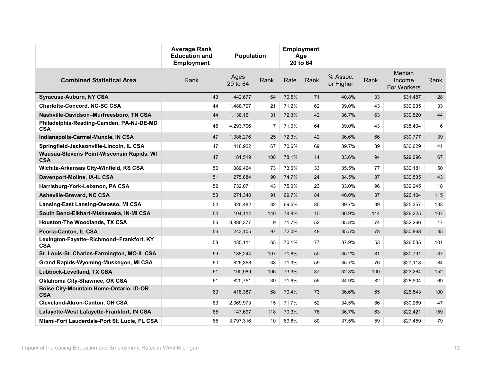|                                                              | <b>Average Rank</b><br><b>Education and</b><br><b>Employment</b> | <b>Population</b> |                | <b>Employment</b><br>Age<br>20 to 64 |      |                       |      |                                 |      |
|--------------------------------------------------------------|------------------------------------------------------------------|-------------------|----------------|--------------------------------------|------|-----------------------|------|---------------------------------|------|
| <b>Combined Statistical Area</b>                             | Rank                                                             | Ages<br>20 to 64  | Rank           | Rate                                 | Rank | % Assoc.<br>or Higher | Rank | Median<br>Income<br>For Workers | Rank |
| <b>Syracuse-Auburn, NY CSA</b>                               | 43                                                               | 442,677           | 64             | 70.5%                                | 71   | 40.8%                 | 33   | \$31,487                        | 28   |
| <b>Charlotte-Concord, NC-SC CSA</b>                          | 44                                                               | 1,488,707         | 21             | 71.2%                                | 62   | 39.0%                 | 43   | \$30,935                        | 33   |
| Nashville-Davidson-Murfreesboro, TN CSA                      | 44                                                               | 1,138,161         | 31             | 72.3%                                | 42   | 36.7%                 | 63   | \$30,520                        | 44   |
| Philadelphia-Reading-Camden, PA-NJ-DE-MD<br><b>CSA</b>       | 46                                                               | 4,293,706         | $\overline{7}$ | 71.0%                                | 64   | 39.0%                 | 43   | \$35,404                        | 6    |
| Indianapolis-Carmel-Muncie, IN CSA                           | 47                                                               | 1,386,276         | 25             | 72.3%                                | 42   | 36.6%                 | 66   | \$30,777                        | 39   |
| Springfield-Jacksonville-Lincoln, IL CSA                     | 47                                                               | 418,922           | 67             | 70.6%                                | 69   | 39.7%                 | 39   | \$30,629                        | 41   |
| Wausau-Stevens Point-Wisconsin Rapids, WI<br><b>CSA</b>      | 47                                                               | 181,519           | 108            | 78.1%                                | 14   | 33.6%                 | 94   | \$29,096                        | 67   |
| Wichita-Arkansas City-Winfield, KS CSA                       | 50                                                               | 389,424           | 73             | 73.6%                                | 33   | 35.5%                 | 77   | \$30,181                        | 50   |
| Davenport-Moline, IA-IL CSA                                  | 51                                                               | 275,884           | 90             | 74.7%                                | 24   | 34.5%                 | 87   | \$30,535                        | 43   |
| Harrisburg-York-Lebanon, PA CSA                              | 52                                                               | 732,071           | 43             | 75.0%                                | 23   | 33.0%                 | 96   | \$32,245                        | 18   |
| Asheville-Brevard, NC CSA                                    | 53                                                               | 271,340           | 91             | 69.7%                                | 84   | 40.0%                 | 37   | \$26,104                        | 115  |
| Lansing-East Lansing-Owosso, MI CSA                          | 54                                                               | 326,482           | 82             | 69.5%                                | 85   | 39.7%                 | 39   | \$25,357                        | 133  |
| South Bend-Elkhart-Mishawaka, IN-MI CSA                      | 54                                                               | 104,114           | 140            | 78.8%                                | 10   | 30.9%                 | 114  | \$26,225                        | 107  |
| <b>Houston-The Woodlands, TX CSA</b>                         | 56                                                               | 3,880,377         | 9              | 71.7%                                | 52   | 35.8%                 | 74   | \$32,266                        | 17   |
| Peoria-Canton, IL CSA                                        | 56                                                               | 243,105           | 97             | 72.0%                                | 48   | 35.5%                 | 78   | \$30,868                        | 35   |
| Lexington-Fayette-Richmond-Frankfort, KY<br><b>CSA</b>       | 58                                                               | 435,111           | 65             | 70.1%                                | 77   | 37.9%                 | 53   | \$26,535                        | 101  |
| St. Louis-St. Charles-Farmington, MO-IL CSA                  | 59                                                               | 188,244           | 107            | 71.8%                                | 50   | 35.2%                 | 81   | \$30,791                        | 37   |
| Grand Rapids-Wyoming-Muskegon, MI CSA                        | 60                                                               | 826,358           | 38             | 71.3%                                | 59   | 35.7%                 | 76   | \$27,118                        | 84   |
| Lubbock-Levelland, TX CSA                                    | 61                                                               | 190,989           | 106            | 73.3%                                | 37   | 32.8%                 | 100  | \$23,264                        | 152  |
| Oklahoma City-Shawnee, OK CSA                                | 61                                                               | 820,751           | 39             | 71.6%                                | 55   | 34.9%                 | 82   | \$28,904                        | 69   |
| <b>Boise City-Mountain Home-Ontario, ID-OR</b><br><b>CSA</b> | 63                                                               | 418,387           | 68             | 70.4%                                | 73   | 36.6%                 | 65   | \$26,543                        | 100  |
| Cleveland-Akron-Canton, OH CSA                               | 63                                                               | 2,069,973         | 15             | 71.7%                                | 52   | 34.5%                 | 86   | \$30,269                        | 47   |
| Lafayette-West Lafayette-Frankfort, IN CSA                   | 65                                                               | 147,697           | 118            | 70.3%                                | 76   | 36.7%                 | 63   | \$22,421                        | 159  |
| Miami-Fort Lauderdale-Port St. Lucie, FL CSA                 | 65                                                               | 3,797,316         | 10             | 69.8%                                | 80   | 37.5%                 | 59   | \$27,459                        | 79   |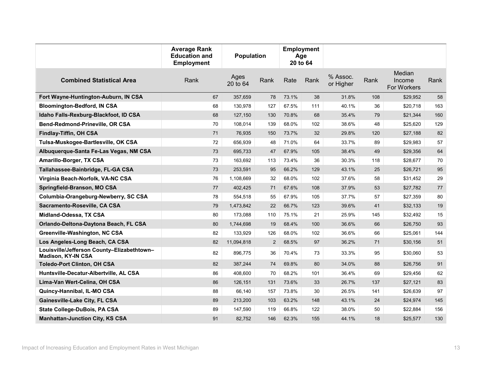|                                                                         | <b>Average Rank</b><br><b>Education and</b><br><b>Employment</b> | <b>Population</b> |                | <b>Employment</b><br>Age<br>20 to 64 |      |                       |      |                                 |      |
|-------------------------------------------------------------------------|------------------------------------------------------------------|-------------------|----------------|--------------------------------------|------|-----------------------|------|---------------------------------|------|
| <b>Combined Statistical Area</b>                                        | Rank                                                             | Ages<br>20 to 64  | Rank           | Rate                                 | Rank | % Assoc.<br>or Higher | Rank | Median<br>Income<br>For Workers | Rank |
| Fort Wayne-Huntington-Auburn, IN CSA                                    | 67                                                               | 357,659           | 78             | 73.1%                                | 38   | 31.8%                 | 108  | \$29,952                        | 58   |
| <b>Bloomington-Bedford, IN CSA</b>                                      | 68                                                               | 130,978           | 127            | 67.5%                                | 111  | 40.1%                 | 36   | \$20,718                        | 163  |
| Idaho Falls-Rexburg-Blackfoot, ID CSA                                   | 68                                                               | 127,150           | 130            | 70.8%                                | 68   | 35.4%                 | 79   | \$21,344                        | 160  |
| Bend-Redmond-Prineville, OR CSA                                         | 70                                                               | 108,014           | 139            | 68.0%                                | 102  | 38.6%                 | 48   | \$25,620                        | 129  |
| Findlay-Tiffin, OH CSA                                                  | 71                                                               | 76,935            | 150            | 73.7%                                | 32   | 29.8%                 | 120  | \$27,188                        | 82   |
| Tulsa-Muskogee-Bartlesville, OK CSA                                     | $\bf 72$                                                         | 656,939           | 48             | 71.0%                                | 64   | 33.7%                 | 89   | \$29,983                        | 57   |
| Albuquerque-Santa Fe-Las Vegas, NM CSA                                  | 73                                                               | 695,733           | 47             | 67.9%                                | 105  | 38.4%                 | 49   | \$29,356                        | 64   |
| <b>Amarillo-Borger, TX CSA</b>                                          | 73                                                               | 163,692           | 113            | 73.4%                                | 36   | 30.3%                 | 118  | \$28,677                        | 70   |
| Tallahassee-Bainbridge, FL-GA CSA                                       | 73                                                               | 253,591           | 95             | 66.2%                                | 129  | 43.1%                 | 25   | \$26,721                        | 95   |
| Virginia Beach-Norfolk, VA-NC CSA                                       | 76                                                               | 1,108,669         | 32             | 68.0%                                | 102  | 37.6%                 | 58   | \$31,452                        | 29   |
| Springfield-Branson, MO CSA                                             | 77                                                               | 402,425           | 71             | 67.6%                                | 108  | 37.9%                 | 53   | \$27,782                        | 77   |
| Columbia-Orangeburg-Newberry, SC CSA                                    | 78                                                               | 554,518           | 55             | 67.9%                                | 105  | 37.7%                 | 57   | \$27,359                        | 80   |
| Sacramento-Roseville, CA CSA                                            | 79                                                               | 1,473,842         | 22             | 66.7%                                | 123  | 39.6%                 | 41   | \$32,133                        | 19   |
| Midland-Odessa, TX CSA                                                  | 80                                                               | 173,088           | 110            | 75.1%                                | 21   | 25.9%                 | 145  | \$32,492                        | 15   |
| Orlando-Deltona-Daytona Beach, FL CSA                                   | 80                                                               | 1,744,698         | 19             | 68.4%                                | 100  | 36.6%                 | 66   | \$26,750                        | 93   |
| Greenville-Washington, NC CSA                                           | 82                                                               | 133,929           | 126            | 68.0%                                | 102  | 36.6%                 | 66   | \$25,061                        | 144  |
| Los Angeles-Long Beach, CA CSA                                          | 82                                                               | 11,094,818        | $\overline{2}$ | 68.5%                                | 97   | 36.2%                 | 71   | \$30,156                        | 51   |
| Louisville/Jefferson County-Elizabethtown-<br><b>Madison, KY-IN CSA</b> | 82                                                               | 896,775           | 36             | 70.4%                                | 73   | 33.3%                 | 95   | \$30,060                        | 53   |
| <b>Toledo-Port Clinton, OH CSA</b>                                      | 82                                                               | 387,244           | 74             | 69.8%                                | 80   | 34.0%                 | 88   | \$26,756                        | 91   |
| Huntsville-Decatur-Albertville, AL CSA                                  | 86                                                               | 408,600           | 70             | 68.2%                                | 101  | 36.4%                 | 69   | \$29,456                        | 62   |
| Lima-Van Wert-Celina, OH CSA                                            | 86                                                               | 126,151           | 131            | 73.6%                                | 33   | 26.7%                 | 137  | \$27,121                        | 83   |
| Quincy-Hannibal, IL-MO CSA                                              | 88                                                               | 66,140            | 157            | 73.8%                                | 30   | 26.5%                 | 141  | \$26,639                        | 97   |
| Gainesville-Lake City, FL CSA                                           | 89                                                               | 213,200           | 103            | 63.2%                                | 148  | 43.1%                 | 24   | \$24,974                        | 145  |
| State College-DuBois, PA CSA                                            | 89                                                               | 147,590           | 119            | 66.8%                                | 122  | 38.0%                 | 50   | \$22,884                        | 156  |
| <b>Manhattan-Junction City, KS CSA</b>                                  | 91                                                               | 82,752            | 146            | 62.3%                                | 155  | 44.1%                 | 18   | \$25,577                        | 130  |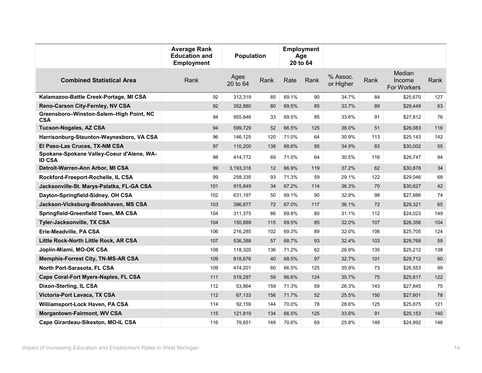|                                                            | <b>Average Rank</b><br><b>Education and</b><br><b>Employment</b> | <b>Population</b> |      | <b>Employment</b><br>Age<br>20 to 64 |      |                       |      |                                 |      |
|------------------------------------------------------------|------------------------------------------------------------------|-------------------|------|--------------------------------------|------|-----------------------|------|---------------------------------|------|
| <b>Combined Statistical Area</b>                           | Rank                                                             | Ages<br>20 to 64  | Rank | Rate                                 | Rank | % Assoc.<br>or Higher | Rank | Median<br>Income<br>For Workers | Rank |
| Kalamazoo-Battle Creek-Portage, MI CSA                     | 92                                                               | 312,319           | 85   | 69.1%                                | 90   | 34.7%                 | 84   | \$25,670                        | 127  |
| Reno-Carson City-Fernley, NV CSA                           | 92                                                               | 352,880           | 80   | 69.5%                                | 85   | 33.7%                 | 89   | \$29,449                        | 63   |
| Greensboro-Winston-Salem-High Point, NC<br><b>CSA</b>      | 94                                                               | 955,846           | 33   | 69.5%                                | 85   | 33.6%                 | 91   | \$27,812                        | 76   |
| <b>Tucson-Nogales, AZ CSA</b>                              | 94                                                               | 599,729           | 52   | 66.5%                                | 125  | 38.0%                 | 51   | \$26,083                        | 116  |
| Harrisonburg-Staunton-Waynesboro, VA CSA                   | 96                                                               | 146,125           | 120  | 71.0%                                | 64   | 30.9%                 | 113  | \$25,143                        | 142  |
| El Paso-Las Cruces, TX-NM CSA                              | 97                                                               | 110,200           | 138  | 68.6%                                | 95   | 34.9%                 | 83   | \$30,002                        | 55   |
| Spokane-Spokane Valley-Coeur d'Alene, WA-<br><b>ID CSA</b> | 98                                                               | 414,772           | 69   | 71.0%                                | 64   | 30.5%                 | 116  | \$26,747                        | 94   |
| Detroit-Warren-Ann Arbor, MI CSA                           | 99                                                               | 3,193,318         | 12   | 66.9%                                | 119  | 37.2%                 | 62   | \$30,878                        | 34   |
| Rockford-Freeport-Rochelle, IL CSA                         | 99                                                               | 258,335           | 93   | 71.3%                                | 59   | 29.1%                 | 122  | \$29.046                        | 68   |
| Jacksonville-St. Marys-Palatka, FL-GA CSA                  | 101                                                              | 915,849           | 34   | 67.2%                                | 114  | 36.3%                 | 70   | \$30,627                        | 42   |
| Dayton-Springfield-Sidney, OH CSA                          | 102                                                              | 631,197           | 50   | 69.1%                                | 90   | 32.9%                 | 98   | \$27,886                        | 74   |
| Jackson-Vicksburg-Brookhaven, MS CSA                       | 103                                                              | 396,877           | 72   | 67.0%                                | 117  | 36.1%                 | 72   | \$29,321                        | 65   |
| Springfield-Greenfield Town, MA CSA                        | 104                                                              | 311,375           | 86   | 69.8%                                | 80   | 31.1%                 | 112  | \$24,023                        | 149  |
| Tyler-Jacksonville, TX CSA                                 | 104                                                              | 150,889           | 115  | 69.5%                                | 85   | 32.0%                 | 107  | \$26,356                        | 104  |
| Erie-Meadville, PA CSA                                     | 106                                                              | 216,285           | 102  | 69.3%                                | 89   | 32.0%                 | 106  | \$25,705                        | 124  |
| Little Rock-North Little Rock, AR CSA                      | 107                                                              | 536,388           | 57   | 68.7%                                | 93   | 32.4%                 | 103  | \$29,768                        | 59   |
| Joplin-Miami, MO-OK CSA                                    | 108                                                              | 118,320           | 136  | 71.2%                                | 62   | 26.9%                 | 135  | \$25,212                        | 138  |
| <b>Memphis-Forrest City, TN-MS-AR CSA</b>                  | 109                                                              | 818,676           | 40   | 68.5%                                | 97   | 32.7%                 | 101  | \$29,712                        | 60   |
| North Port-Sarasota, FL CSA                                | 109                                                              | 474,201           | 60   | 66.5%                                | 125  | 35.9%                 | 73   | \$26,553                        | 99   |
| Cape Coral-Fort Myers-Naples, FL CSA                       | 111                                                              | 519,297           | 59   | 66.6%                                | 124  | 35.7%                 | 75   | \$25,817                        | 122  |
| Dixon-Sterling, IL CSA                                     | 112                                                              | 53,864            | 159  | 71.3%                                | 59   | 26.3%                 | 143  | \$27,845                        | 75   |
| Victoria-Port Lavaca, TX CSA                               | 112                                                              | 67,133            | 156  | 71.7%                                | 52   | 25.5%                 | 150  | \$27,601                        | 78   |
| Williamsport-Lock Haven, PA CSA                            | 114                                                              | 92,159            | 144  | 70.0%                                | 78   | 28.6%                 | 125  | \$25,875                        | 121  |
| <b>Morgantown-Fairmont, WV CSA</b>                         | 115                                                              | 121,819           | 134  | 66.5%                                | 125  | 33.6%                 | 91   | \$25,153                        | 140  |
| Cape Girardeau-Sikeston, MO-IL CSA                         | 116                                                              | 79,851            | 148  | 70.6%                                | 69   | 25.8%                 | 148  | \$24,892                        | 146  |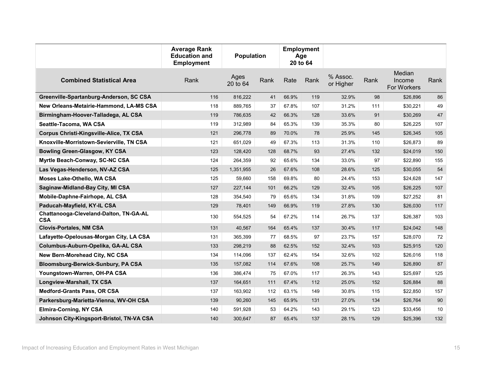|                                                      | <b>Average Rank</b><br><b>Education and</b><br><b>Employment</b> | <b>Population</b> |      | <b>Employment</b><br>Age<br>20 to 64 |      |                       |      |                                 |                 |
|------------------------------------------------------|------------------------------------------------------------------|-------------------|------|--------------------------------------|------|-----------------------|------|---------------------------------|-----------------|
| <b>Combined Statistical Area</b>                     | Rank                                                             | Ages<br>20 to 64  | Rank | Rate                                 | Rank | % Assoc.<br>or Higher | Rank | Median<br>Income<br>For Workers | Rank            |
| Greenville-Spartanburg-Anderson, SC CSA              | 116                                                              | 816,222           | 41   | 66.9%                                | 119  | 32.9%                 | 98   | \$26,896                        | 86              |
| New Orleans-Metairie-Hammond, LA-MS CSA              | 118                                                              | 889,765           | 37   | 67.8%                                | 107  | 31.2%                 | 111  | \$30,221                        | 49              |
| Birmingham-Hoover-Talladega, AL CSA                  | 119                                                              | 786,635           | 42   | 66.3%                                | 128  | 33.6%                 | 91   | \$30,269                        | 47              |
| Seattle-Tacoma, WA CSA                               | 119                                                              | 312,989           | 84   | 65.3%                                | 139  | 35.3%                 | 80   | \$26,225                        | 107             |
| Corpus Christi-Kingsville-Alice, TX CSA              | 121                                                              | 296,778           | 89   | 70.0%                                | 78   | 25.9%                 | 145  | \$26,345                        | 105             |
| Knoxville-Morristown-Sevierville, TN CSA             | 121                                                              | 651,029           | 49   | 67.3%                                | 113  | 31.3%                 | 110  | \$26,873                        | 89              |
| <b>Bowling Green-Glasgow, KY CSA</b>                 | 123                                                              | 128,420           | 128  | 68.7%                                | 93   | 27.4%                 | 132  | \$24,019                        | 150             |
| Myrtle Beach-Conway, SC-NC CSA                       | 124                                                              | 264,359           | 92   | 65.6%                                | 134  | 33.0%                 | 97   | \$22,890                        | 155             |
| Las Vegas-Henderson, NV-AZ CSA                       | 125                                                              | 1,351,955         | 26   | 67.6%                                | 108  | 28.6%                 | 125  | \$30,055                        | 54              |
| Moses Lake-Othello, WA CSA                           | 125                                                              | 59,660            | 158  | 69.8%                                | 80   | 24.4%                 | 153  | \$24,628                        | 147             |
| Saginaw-Midland-Bay City, MI CSA                     | 127                                                              | 227,144           | 101  | 66.2%                                | 129  | 32.4%                 | 105  | \$26,225                        | 107             |
| Mobile-Daphne-Fairhope, AL CSA                       | 128                                                              | 354,540           | 79   | 65.6%                                | 134  | 31.8%                 | 109  | \$27,252                        | 81              |
| Paducah-Mayfield, KY-IL CSA                          | 129                                                              | 78,401            | 149  | 66.9%                                | 119  | 27.8%                 | 130  | \$26,030                        | 117             |
| Chattanooga-Cleveland-Dalton, TN-GA-AL<br><b>CSA</b> | 130                                                              | 554.525           | 54   | 67.2%                                | 114  | 26.7%                 | 137  | \$26.387                        | 103             |
| <b>Clovis-Portales, NM CSA</b>                       | 131                                                              | 40,567            | 164  | 65.4%                                | 137  | 30.4%                 | 117  | \$24,042                        | 148             |
| Lafayette-Opelousas-Morgan City, LA CSA              | 131                                                              | 365,399           | 77   | 68.5%                                | 97   | 23.7%                 | 157  | \$28,070                        | 72              |
| Columbus-Auburn-Opelika, GA-AL CSA                   | 133                                                              | 298,219           | 88   | 62.5%                                | 152  | 32.4%                 | 103  | \$25,915                        | 120             |
| New Bern-Morehead City, NC CSA                       | 134                                                              | 114,096           | 137  | 62.4%                                | 154  | 32.6%                 | 102  | \$26,016                        | 118             |
| <b>Bloomsburg-Berwick-Sunbury, PA CSA</b>            | 135                                                              | 157,082           | 114  | 67.6%                                | 108  | 25.7%                 | 149  | \$26,890                        | 87              |
| Youngstown-Warren, OH-PA CSA                         | 136                                                              | 386,474           | 75   | 67.0%                                | 117  | 26.3%                 | 143  | \$25,697                        | 125             |
| Longview-Marshall, TX CSA                            | 137                                                              | 164,651           | 111  | 67.4%                                | 112  | 25.0%                 | 152  | \$26,884                        | 88              |
| <b>Medford-Grants Pass, OR CSA</b>                   | 137                                                              | 163,902           | 112  | 63.1%                                | 149  | 30.8%                 | 115  | \$22,850                        | 157             |
| Parkersburg-Marietta-Vienna, WV-OH CSA               | 139                                                              | 90,260            | 145  | 65.9%                                | 131  | 27.0%                 | 134  | \$26,764                        | 90              |
| <b>Elmira-Corning, NY CSA</b>                        | 140                                                              | 591,928           | 53   | 64.2%                                | 143  | 29.1%                 | 123  | \$33,456                        | 10 <sup>1</sup> |
| Johnson City-Kingsport-Bristol, TN-VA CSA            | 140                                                              | 300,647           | 87   | 65.4%                                | 137  | 28.1%                 | 129  | \$25,396                        | 132             |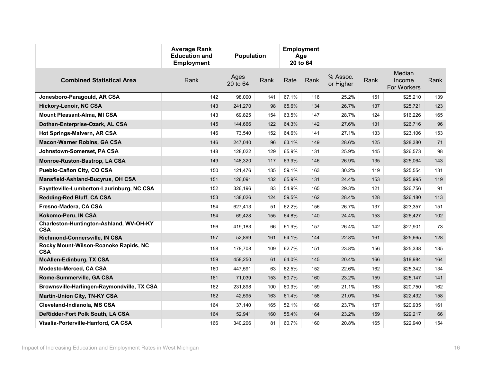|                                                       | <b>Average Rank</b><br><b>Education and</b><br><b>Employment</b> | <b>Employment</b><br><b>Population</b><br>Age<br>20 to 64 |      |       |      |                       |      |                                 |      |
|-------------------------------------------------------|------------------------------------------------------------------|-----------------------------------------------------------|------|-------|------|-----------------------|------|---------------------------------|------|
| <b>Combined Statistical Area</b>                      | Rank                                                             | Ages<br>20 to 64                                          | Rank | Rate  | Rank | % Assoc.<br>or Higher | Rank | Median<br>Income<br>For Workers | Rank |
| Jonesboro-Paragould, AR CSA                           | 142                                                              | 98,000                                                    | 141  | 67.1% | 116  | 25.2%                 | 151  | \$25,210                        | 139  |
| <b>Hickory-Lenoir, NC CSA</b>                         | 143                                                              | 241,270                                                   | 98   | 65.6% | 134  | 26.7%                 | 137  | \$25,721                        | 123  |
| Mount Pleasant-Alma, MI CSA                           | 143                                                              | 69,825                                                    | 154  | 63.5% | 147  | 28.7%                 | 124  | \$16,226                        | 165  |
| Dothan-Enterprise-Ozark, AL CSA                       | 145                                                              | 144,666                                                   | 122  | 64.3% | 142  | 27.6%                 | 131  | \$26,716                        | 96   |
| Hot Springs-Malvern, AR CSA                           | 146                                                              | 73.540                                                    | 152  | 64.6% | 141  | 27.1%                 | 133  | \$23.106                        | 153  |
| <b>Macon-Warner Robins, GA CSA</b>                    | 146                                                              | 247,040                                                   | 96   | 63.1% | 149  | 28.6%                 | 125  | \$28,380                        | 71   |
| Johnstown-Somerset, PA CSA                            | 148                                                              | 128,022                                                   | 129  | 65.9% | 131  | 25.9%                 | 145  | \$26,573                        | 98   |
| Monroe-Ruston-Bastrop, LA CSA                         | 149                                                              | 148,320                                                   | 117  | 63.9% | 146  | 26.9%                 | 135  | \$25,064                        | 143  |
| Pueblo-Cañon City, CO CSA                             | 150                                                              | 121,476                                                   | 135  | 59.1% | 163  | 30.2%                 | 119  | \$25.554                        | 131  |
| Mansfield-Ashland-Bucyrus, OH CSA                     | 151                                                              | 126,091                                                   | 132  | 65.9% | 131  | 24.4%                 | 153  | \$25,995                        | 119  |
| Fayetteville-Lumberton-Laurinburg, NC CSA             | 152                                                              | 326.196                                                   | 83   | 54.9% | 165  | 29.3%                 | 121  | \$26,756                        | 91   |
| Redding-Red Bluff, CA CSA                             | 153                                                              | 138,026                                                   | 124  | 59.5% | 162  | 28.4%                 | 128  | \$26,180                        | 113  |
| Fresno-Madera, CA CSA                                 | 154                                                              | 627,413                                                   | 51   | 62.2% | 156  | 26.7%                 | 137  | \$23,357                        | 151  |
| Kokomo-Peru, IN CSA                                   | 154                                                              | 69,428                                                    | 155  | 64.8% | 140  | 24.4%                 | 153  | \$26,427                        | 102  |
| Charleston-Huntington-Ashland, WV-OH-KY<br><b>CSA</b> | 156                                                              | 419,183                                                   | 66   | 61.9% | 157  | 26.4%                 | 142  | \$27,901                        | 73   |
| Richmond-Connersville, IN CSA                         | 157                                                              | 52,899                                                    | 161  | 64.1% | 144  | 22.8%                 | 161  | \$25,665                        | 128  |
| Rocky Mount-Wilson-Roanoke Rapids, NC<br><b>CSA</b>   | 158                                                              | 178,708                                                   | 109  | 62.7% | 151  | 23.8%                 | 156  | \$25,338                        | 135  |
| <b>McAllen-Edinburg, TX CSA</b>                       | 159                                                              | 458,250                                                   | 61   | 64.0% | 145  | 20.4%                 | 166  | \$18,984                        | 164  |
| Modesto-Merced, CA CSA                                | 160                                                              | 447,591                                                   | 63   | 62.5% | 152  | 22.6%                 | 162  | \$25,342                        | 134  |
| Rome-Summerville, GA CSA                              | 161                                                              | 71,039                                                    | 153  | 60.7% | 160  | 23.2%                 | 159  | \$25,147                        | 141  |
| Brownsville-Harlingen-Raymondville, TX CSA            | 162                                                              | 231,898                                                   | 100  | 60.9% | 159  | 21.1%                 | 163  | \$20,750                        | 162  |
| <b>Martin-Union City, TN-KY CSA</b>                   | 162                                                              | 42,595                                                    | 163  | 61.4% | 158  | 21.0%                 | 164  | \$22,432                        | 158  |
| Cleveland-Indianola, MS CSA                           | 164                                                              | 37,140                                                    | 165  | 52.1% | 166  | 23.7%                 | 157  | \$20,935                        | 161  |
| DeRidder-Fort Polk South, LA CSA                      | 164                                                              | 52,941                                                    | 160  | 55.4% | 164  | 23.2%                 | 159  | \$29,217                        | 66   |
| Visalia-Porterville-Hanford, CA CSA                   | 166                                                              | 340,206                                                   | 81   | 60.7% | 160  | 20.8%                 | 165  | \$22,940                        | 154  |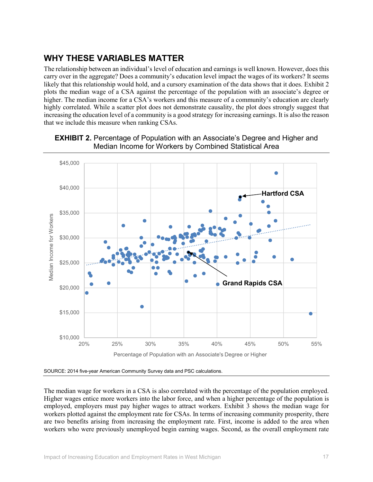# **WHY THESE VARIABLES MATTER**

The relationship between an individual's level of education and earnings is well known. However, does this carry over in the aggregate? Does a community's education level impact the wages of its workers? It seems likely that this relationship would hold, and a cursory examination of the data shows that it does. Exhibit 2 plots the median wage of a CSA against the percentage of the population with an associate's degree or higher. The median income for a CSA's workers and this measure of a community's education are clearly highly correlated. While a scatter plot does not demonstrate causality, the plot does strongly suggest that increasing the education level of a community is a good strategy for increasing earnings. It is also the reason that we include this measure when ranking CSAs.



#### **EXHIBIT 2.** Percentage of Population with an Associate's Degree and Higher and Median Income for Workers by Combined Statistical Area

SOURCE: 2014 five-year American Community Survey data and PSC calculations.

The median wage for workers in a CSA is also correlated with the percentage of the population employed. Higher wages entice more workers into the labor force, and when a higher percentage of the population is employed, employers must pay higher wages to attract workers. Exhibit 3 shows the median wage for workers plotted against the employment rate for CSAs. In terms of increasing community prosperity, there are two benefits arising from increasing the employment rate. First, income is added to the area when workers who were previously unemployed begin earning wages. Second, as the overall employment rate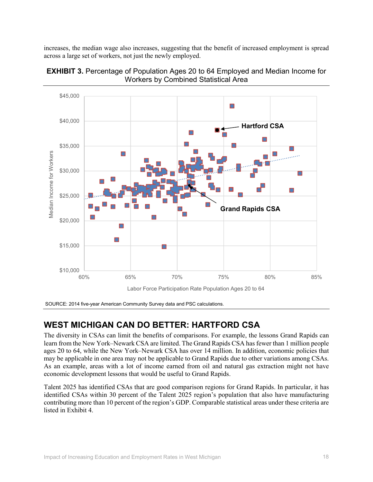increases, the median wage also increases, suggesting that the benefit of increased employment is spread across a large set of workers, not just the newly employed.





SOURCE: 2014 five-year American Community Survey data and PSC calculations.

## **WEST MICHIGAN CAN DO BETTER: HARTFORD CSA**

The diversity in CSAs can limit the benefits of comparisons. For example, the lessons Grand Rapids can learn from the New York–Newark CSA are limited. The Grand Rapids CSA has fewer than 1 million people ages 20 to 64, while the New York–Newark CSA has over 14 million. In addition, economic policies that may be applicable in one area may not be applicable to Grand Rapids due to other variations among CSAs. As an example, areas with a lot of income earned from oil and natural gas extraction might not have economic development lessons that would be useful to Grand Rapids.

Talent 2025 has identified CSAs that are good comparison regions for Grand Rapids. In particular, it has identified CSAs within 30 percent of the Talent 2025 region's population that also have manufacturing contributing more than 10 percent of the region's GDP. Comparable statistical areas under these criteria are listed in Exhibit 4.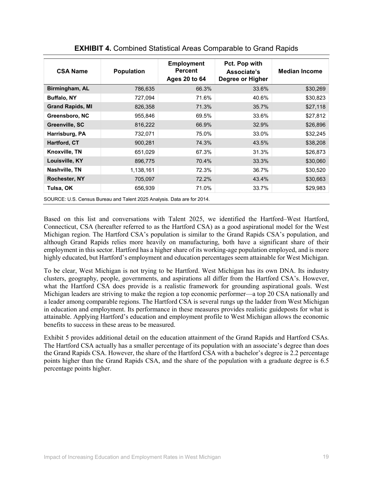| <b>CSA Name</b>         | <b>Population</b>                                                       | <b>Employment</b><br><b>Percent</b><br>Ages 20 to 64 | Pct. Pop with<br>Associate's<br>Degree or Higher | <b>Median Income</b> |
|-------------------------|-------------------------------------------------------------------------|------------------------------------------------------|--------------------------------------------------|----------------------|
| Birmingham, AL          | 786,635                                                                 | 66.3%                                                | 33.6%                                            | \$30,269             |
| <b>Buffalo, NY</b>      | 727,094                                                                 | 71.6%                                                | 40.6%                                            | \$30,823             |
| <b>Grand Rapids, MI</b> | 826,358                                                                 | 71.3%                                                | 35.7%                                            | \$27,118             |
| Greensboro, NC          | 955,846                                                                 | 69.5%                                                | 33.6%                                            | \$27,812             |
| Greenville, SC          | 816,222                                                                 | 66.9%                                                | 32.9%                                            | \$26,896             |
| Harrisburg, PA          | 732,071                                                                 | 75.0%                                                | 33.0%                                            | \$32,245             |
| Hartford, CT            | 900,281                                                                 | 74.3%                                                | 43.5%                                            | \$38,208             |
| Knoxville, TN           | 651,029                                                                 | 67.3%                                                | 31.3%                                            | \$26,873             |
| Louisville, KY          | 896,775                                                                 | 70.4%                                                | 33.3%                                            | \$30,060             |
| Nashville, TN           | 1,138,161                                                               | 72.3%                                                | 36.7%                                            | \$30,520             |
| <b>Rochester, NY</b>    | 705,097                                                                 | 72.2%                                                | 43.4%                                            | \$30,663             |
| Tulsa, OK               | 656,939                                                                 | 71.0%                                                | 33.7%                                            | \$29,983             |
|                         | SOURCE: U.S. Census Bureau and Talent 2025 Analysis. Data are for 2014. |                                                      |                                                  |                      |

**EXHIBIT 4.** Combined Statistical Areas Comparable to Grand Rapids

Based on this list and conversations with Talent 2025, we identified the Hartford–West Hartford, Connecticut, CSA (hereafter referred to as the Hartford CSA) as a good aspirational model for the West Michigan region. The Hartford CSA's population is similar to the Grand Rapids CSA's population, and although Grand Rapids relies more heavily on manufacturing, both have a significant share of their employment in this sector. Hartford has a higher share of its working-age population employed, and is more highly educated, but Hartford's employment and education percentages seem attainable for West Michigan.

To be clear, West Michigan is not trying to be Hartford. West Michigan has its own DNA. Its industry clusters, geography, people, governments, and aspirations all differ from the Hartford CSA's. However, what the Hartford CSA does provide is a realistic framework for grounding aspirational goals. West Michigan leaders are striving to make the region a top economic performer—a top 20 CSA nationally and a leader among comparable regions. The Hartford CSA is several rungs up the ladder from West Michigan in education and employment. Its performance in these measures provides realistic guideposts for what is attainable. Applying Hartford's education and employment profile to West Michigan allows the economic benefits to success in these areas to be measured.

Exhibit 5 provides additional detail on the education attainment of the Grand Rapids and Hartford CSAs. The Hartford CSA actually has a smaller percentage of its population with an associate's degree than does the Grand Rapids CSA. However, the share of the Hartford CSA with a bachelor's degree is 2.2 percentage points higher than the Grand Rapids CSA, and the share of the population with a graduate degree is 6.5 percentage points higher.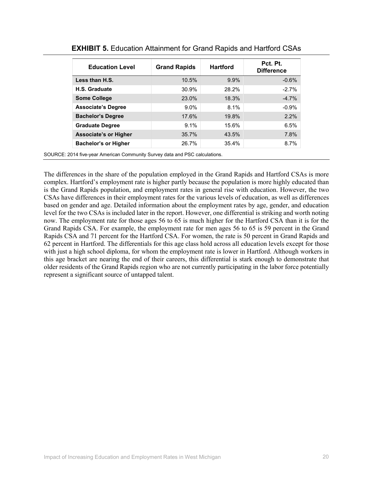| <b>Education Level</b>       | <b>Grand Rapids</b> | <b>Hartford</b> | Pct. Pt.<br><b>Difference</b> |
|------------------------------|---------------------|-----------------|-------------------------------|
| Less than H.S.               | 10.5%               | 9.9%            | $-0.6%$                       |
| H.S. Graduate                | 30.9%               | 28.2%           | $-2.7%$                       |
| <b>Some College</b>          | 23.0%               | 18.3%           | $-4.7%$                       |
| <b>Associate's Degree</b>    | $9.0\%$             | 8.1%            | $-0.9%$                       |
| <b>Bachelor's Degree</b>     | 17.6%               | 19.8%           | 2.2%                          |
| <b>Graduate Degree</b>       | 9.1%                | 15.6%           | 6.5%                          |
| <b>Associate's or Higher</b> | 35.7%               | 43.5%           | 7.8%                          |
| <b>Bachelor's or Higher</b>  | 26.7%               | 35.4%           | 8.7%                          |

|  |  |  |  | <b>EXHIBIT 5.</b> Education Attainment for Grand Rapids and Hartford CSAs |
|--|--|--|--|---------------------------------------------------------------------------|
|--|--|--|--|---------------------------------------------------------------------------|

SOURCE: 2014 five-year American Community Survey data and PSC calculations.

The differences in the share of the population employed in the Grand Rapids and Hartford CSAs is more complex. Hartford's employment rate is higher partly because the population is more highly educated than is the Grand Rapids population, and employment rates in general rise with education. However, the two CSAs have differences in their employment rates for the various levels of education, as well as differences based on gender and age. Detailed information about the employment rates by age, gender, and education level for the two CSAs is included later in the report. However, one differential is striking and worth noting now. The employment rate for those ages 56 to 65 is much higher for the Hartford CSA than it is for the Grand Rapids CSA. For example, the employment rate for men ages 56 to 65 is 59 percent in the Grand Rapids CSA and 71 percent for the Hartford CSA. For women, the rate is 50 percent in Grand Rapids and 62 percent in Hartford. The differentials for this age class hold across all education levels except for those with just a high school diploma, for whom the employment rate is lower in Hartford. Although workers in this age bracket are nearing the end of their careers, this differential is stark enough to demonstrate that older residents of the Grand Rapids region who are not currently participating in the labor force potentially represent a significant source of untapped talent.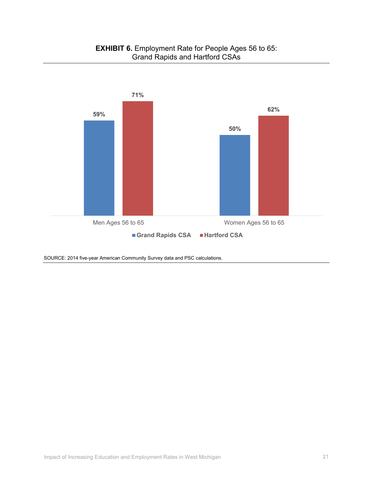

SOURCE: 2014 five-year American Community Survey data and PSC calculations.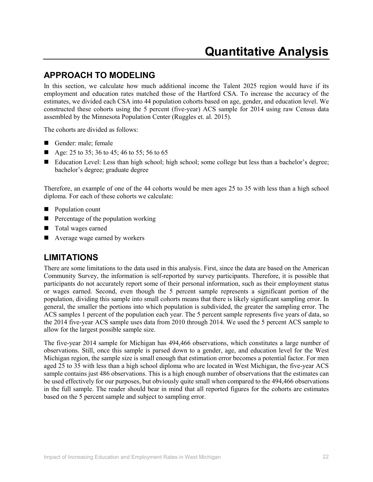### **APPROACH TO MODELING**

In this section, we calculate how much additional income the Talent 2025 region would have if its employment and education rates matched those of the Hartford CSA. To increase the accuracy of the estimates, we divided each CSA into 44 population cohorts based on age, gender, and education level. We constructed these cohorts using the 5 percent (five-year) ACS sample for 2014 using raw Census data assembled by the Minnesota Population Center (Ruggles et. al. 2015).

The cohorts are divided as follows:

- Gender: male; female
- Age: 25 to 35; 36 to 45; 46 to 55; 56 to 65
- Education Level: Less than high school; high school; some college but less than a bachelor's degree; bachelor's degree; graduate degree

Therefore, an example of one of the 44 cohorts would be men ages 25 to 35 with less than a high school diploma. For each of these cohorts we calculate:

- **Population count**
- $\blacksquare$  Percentage of the population working
- **T** Total wages earned
- Average wage earned by workers

#### **LIMITATIONS**

There are some limitations to the data used in this analysis. First, since the data are based on the American Community Survey, the information is self-reported by survey participants. Therefore, it is possible that participants do not accurately report some of their personal information, such as their employment status or wages earned. Second, even though the 5 percent sample represents a significant portion of the population, dividing this sample into small cohorts means that there is likely significant sampling error. In general, the smaller the portions into which population is subdivided, the greater the sampling error. The ACS samples 1 percent of the population each year. The 5 percent sample represents five years of data, so the 2014 five-year ACS sample uses data from 2010 through 2014. We used the 5 percent ACS sample to allow for the largest possible sample size.

The five-year 2014 sample for Michigan has 494,466 observations, which constitutes a large number of observations. Still, once this sample is parsed down to a gender, age, and education level for the West Michigan region, the sample size is small enough that estimation error becomes a potential factor. For men aged 25 to 35 with less than a high school diploma who are located in West Michigan, the five-year ACS sample contains just 486 observations. This is a high enough number of observations that the estimates can be used effectively for our purposes, but obviously quite small when compared to the 494,466 observations in the full sample. The reader should bear in mind that all reported figures for the cohorts are estimates based on the 5 percent sample and subject to sampling error.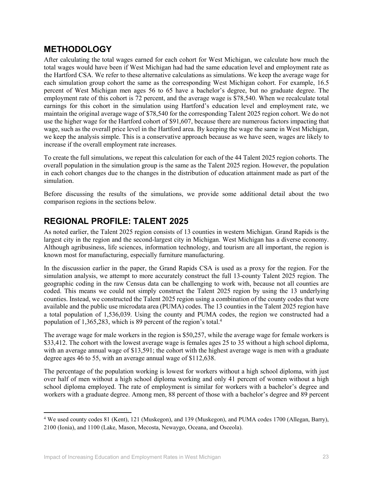## **METHODOLOGY**

After calculating the total wages earned for each cohort for West Michigan, we calculate how much the total wages would have been if West Michigan had had the same education level and employment rate as the Hartford CSA. We refer to these alternative calculations as simulations. We keep the average wage for each simulation group cohort the same as the corresponding West Michigan cohort. For example, 16.5 percent of West Michigan men ages 56 to 65 have a bachelor's degree, but no graduate degree. The employment rate of this cohort is 72 percent, and the average wage is \$78,540. When we recalculate total earnings for this cohort in the simulation using Hartford's education level and employment rate, we maintain the original average wage of \$78,540 for the corresponding Talent 2025 region cohort. We do not use the higher wage for the Hartford cohort of \$91,607, because there are numerous factors impacting that wage, such as the overall price level in the Hartford area. By keeping the wage the same in West Michigan, we keep the analysis simple. This is a conservative approach because as we have seen, wages are likely to increase if the overall employment rate increases.

To create the full simulations, we repeat this calculation for each of the 44 Talent 2025 region cohorts. The overall population in the simulation group is the same as the Talent 2025 region. However, the population in each cohort changes due to the changes in the distribution of education attainment made as part of the simulation.

Before discussing the results of the simulations, we provide some additional detail about the two comparison regions in the sections below.

## **REGIONAL PROFILE: TALENT 2025**

As noted earlier, the Talent 2025 region consists of 13 counties in western Michigan. Grand Rapids is the largest city in the region and the second-largest city in Michigan. West Michigan has a diverse economy. Although agribusiness, life sciences, information technology, and tourism are all important, the region is known most for manufacturing, especially furniture manufacturing.

In the discussion earlier in the paper, the Grand Rapids CSA is used as a proxy for the region. For the simulation analysis, we attempt to more accurately construct the full 13-county Talent 2025 region. The geographic coding in the raw Census data can be challenging to work with, because not all counties are coded. This means we could not simply construct the Talent 2025 region by using the 13 underlying counties. Instead, we constructed the Talent 2025 region using a combination of the county codes that were available and the public use microdata area (PUMA) codes. The 13 counties in the Talent 2025 region have a total population of 1,536,039. Using the county and PUMA codes, the region we constructed had a population of 1,365,283, which is 89 percent of the region's total.4

The average wage for male workers in the region is \$50,257, while the average wage for female workers is \$33,412. The cohort with the lowest average wage is females ages 25 to 35 without a high school diploma, with an average annual wage of \$13,591; the cohort with the highest average wage is men with a graduate degree ages 46 to 55, with an average annual wage of \$112,638.

The percentage of the population working is lowest for workers without a high school diploma, with just over half of men without a high school diploma working and only 41 percent of women without a high school diploma employed. The rate of employment is similar for workers with a bachelor's degree and workers with a graduate degree. Among men, 88 percent of those with a bachelor's degree and 89 percent

 $\overline{\phantom{a}}$ 

<sup>4</sup> We used county codes 81 (Kent), 121 (Muskegon), and 139 (Muskegon), and PUMA codes 1700 (Allegan, Barry), 2100 (Ionia), and 1100 (Lake, Mason, Mecosta, Newaygo, Oceana, and Osceola).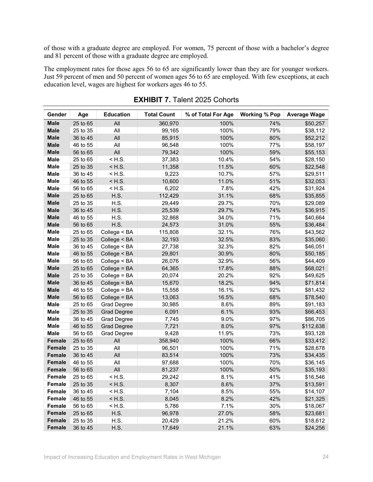of those with a graduate degree are employed. For women, 75 percent of those with a bachelor's degree and 81 percent of those with a graduate degree are employed.

The employment rates for those ages 56 to 65 are significantly lower than they are for younger workers. Just 59 percent of men and 50 percent of women ages 56 to 65 are employed. With few exceptions, at each education level, wages are highest for workers ages 46 to 55.

| Gender        | Age      | <b>Education</b>   | <b>Total Count</b> | % of Total For Age | <b>Working % Pop</b> | <b>Average Wage</b> |
|---------------|----------|--------------------|--------------------|--------------------|----------------------|---------------------|
| <b>Male</b>   | 25 to 65 | All                | 360,970            | 100%               | 74%                  | \$50,257            |
| <b>Male</b>   | 25 to 35 | All                | 99,165             | 100%               | 79%                  | \$38,112            |
| <b>Male</b>   | 36 to 45 | All                | 85,915             | 100%               | 80%                  | \$52,212            |
| <b>Male</b>   | 46 to 55 | All                | 96,548             | 100%               | 77%                  | \$58,197            |
| <b>Male</b>   | 56 to 65 | All                | 79,342             | 100%               | 59%                  | \$55,153            |
| <b>Male</b>   | 25 to 65 | $<$ H.S.           | 37,383             | 10.4%              | 54%                  | \$28,150            |
| <b>Male</b>   | 25 to 35 | $<$ H.S.           | 11,358             | 11.5%              | 60%                  | \$22,548            |
| <b>Male</b>   | 36 to 45 | $<$ H.S.           | 9,223              | 10.7%              | 57%                  | \$29,511            |
| <b>Male</b>   | 46 to 55 | $<$ H.S.           | 10,600             | 11.0%              | 51%                  | \$32,053            |
| <b>Male</b>   | 56 to 65 | $<$ H.S.           | 6,202              | 7.8%               | 42%                  | \$31,924            |
| <b>Male</b>   | 25 to 65 | <b>H.S.</b>        | 112,429            | 31.1%              | 68%                  | \$35,855            |
| <b>Male</b>   | 25 to 35 | H.S.               | 29,449             | 29.7%              | 70%                  | \$29,089            |
| <b>Male</b>   | 36 to 45 | <b>H.S.</b>        | 25,539             | 29.7%              | 74%                  | \$36,915            |
| <b>Male</b>   | 46 to 55 | H.S.               | 32,868             | 34.0%              | 71%                  | \$40,664            |
| <b>Male</b>   | 56 to 65 | H.S.               | 24,573             | 31.0%              | 55%                  | \$36,484            |
| <b>Male</b>   | 25 to 65 | College < BA       | 115,808            | 32.1%              | 76%                  | \$43,562            |
| <b>Male</b>   | 25 to 35 | College < BA       | 32,193             | 32.5%              | 83%                  | \$35,060            |
| <b>Male</b>   | 36 to 45 | College < BA       | 27,738             | 32.3%              | 82%                  | \$46,051            |
| <b>Male</b>   | 46 to 55 | College < BA       | 29,801             | 30.9%              | 80%                  | \$50,185            |
| <b>Male</b>   | 56 to 65 | College < BA       | 26,076             | 32.9%              | 56%                  | \$44,409            |
| <b>Male</b>   | 25 to 65 | College = BA       | 64,365             | 17.8%              | 88%                  | \$68,021            |
| <b>Male</b>   | 25 to 35 | College = BA       | 20,074             | 20.2%              | 92%                  | \$49,625            |
| <b>Male</b>   | 36 to 45 | College = BA       | 15,670             | 18.2%              | 94%                  | \$71,814            |
| <b>Male</b>   | 46 to 55 | College = BA       | 15,558             | 16.1%              | 92%                  | \$81,432            |
| <b>Male</b>   | 56 to 65 | College = BA       | 13,063             | 16.5%              | 68%                  | \$78,540            |
| Male          | 25 to 65 | Grad Degree        | 30,985             | 8.6%               | 89%                  | \$91,183            |
| <b>Male</b>   | 25 to 35 | <b>Grad Degree</b> | 6,091              | 6.1%               | 93%                  | \$66,453            |
| Male          | 36 to 45 | <b>Grad Degree</b> | 7,745              | 9.0%               | 97%                  | \$86,705            |
| Male          | 46 to 55 | <b>Grad Degree</b> | 7,721              | 8.0%               | 97%                  | \$112,638           |
| <b>Male</b>   | 56 to 65 | Grad Degree        | 9,428              | 11.9%              | 73%                  | \$93,128            |
| <b>Female</b> | 25 to 65 | All                | 358,940            | 100%               | 66%                  | \$33,412            |
| <b>Female</b> | 25 to 35 | All                | 96,501             | 100%               | 71%                  | \$28,678            |
| <b>Female</b> | 36 to 45 | All                | 83,514             | 100%               | 73%                  | \$34,435            |
| <b>Female</b> | 46 to 55 | All                | 97,688             | 100%               | 70%                  | \$36,145            |
| <b>Female</b> | 56 to 65 | All                | 81,237             | 100%               | 50%                  | \$35,193            |
| <b>Female</b> | 25 to 65 | $<$ H.S.           | 29,242             | 8.1%               | 41%                  | \$16,546            |
| Female        | 25 to 35 | $<$ H.S.           | 8,307              | 8.6%               | 37%                  | \$13,591            |
| Female        | 36 to 45 | $<$ H.S.           | 7,104              | 8.5%               | 55%                  | \$14,107            |
| Female        | 46 to 55 | $<$ H.S.           | 8,045              | 8.2%               | 42%                  | \$21,325            |
| Female        | 56 to 65 | $<$ H.S.           | 5,786              | 7.1%               | 30%                  | \$18,067            |
| Female        | 25 to 65 | H.S.               | 96,978             | 27.0%              | 58%                  | \$23,681            |
| <b>Female</b> | 25 to 35 | H.S.               | 20,429             | 21.2%              | 60%                  | \$18,612            |
| Female        | 36 to 45 | H.S.               | 17,649             | 21.1%              | 63%                  | \$24,256            |

#### **EXHIBIT 7.** Talent 2025 Cohorts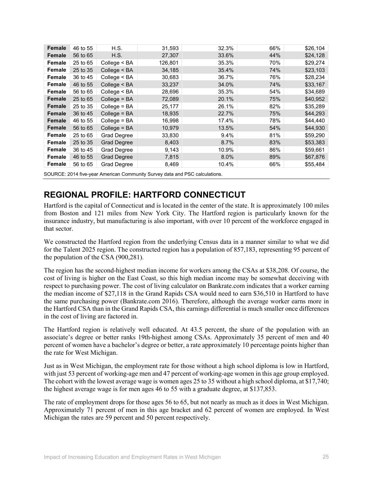| Female | 46 to 55 | H.S.               | 31,593  | 32.3% | 66% | \$26,104 |
|--------|----------|--------------------|---------|-------|-----|----------|
| Female | 56 to 65 | H.S.               | 27,307  | 33.6% | 44% | \$24,128 |
| Female | 25 to 65 | College $<$ BA     | 126,801 | 35.3% | 70% | \$29,274 |
| Female | 25 to 35 | College $<$ BA     | 34,185  | 35.4% | 74% | \$23,103 |
| Female | 36 to 45 | College $<$ BA     | 30,683  | 36.7% | 76% | \$28,234 |
| Female | 46 to 55 | College < BA       | 33,237  | 34.0% | 74% | \$33,167 |
| Female | 56 to 65 | College $<$ BA     | 28,696  | 35.3% | 54% | \$34,689 |
| Female | 25 to 65 | $Collect = BA$     | 72,089  | 20.1% | 75% | \$40,952 |
| Female | 25 to 35 | $Collect = BA$     | 25,177  | 26.1% | 82% | \$35,289 |
| Female | 36 to 45 | $Collect = BA$     | 18,935  | 22.7% | 75% | \$44,293 |
| Female | 46 to 55 | $Collect = BA$     | 16,998  | 17.4% | 78% | \$44,440 |
| Female | 56 to 65 | $Collect = BA$     | 10,979  | 13.5% | 54% | \$44,930 |
| Female | 25 to 65 | Grad Degree        | 33,830  | 9.4%  | 81% | \$59,290 |
| Female | 25 to 35 | <b>Grad Degree</b> | 8,403   | 8.7%  | 83% | \$53,383 |
| Female | 36 to 45 | Grad Degree        | 9,143   | 10.9% | 86% | \$59,661 |
| Female | 46 to 55 | <b>Grad Degree</b> | 7,815   | 8.0%  | 89% | \$67,876 |
| Female | 56 to 65 | Grad Degree        | 8,469   | 10.4% | 66% | \$55,484 |
|        |          |                    |         |       |     |          |

SOURCE: 2014 five-year American Community Survey data and PSC calculations.

# **REGIONAL PROFILE: HARTFORD CONNECTICUT**

Hartford is the capital of Connecticut and is located in the center of the state. It is approximately 100 miles from Boston and 121 miles from New York City. The Hartford region is particularly known for the insurance industry, but manufacturing is also important, with over 10 percent of the workforce engaged in that sector.

We constructed the Hartford region from the underlying Census data in a manner similar to what we did for the Talent 2025 region. The constructed region has a population of 857,183, representing 95 percent of the population of the CSA (900,281).

The region has the second-highest median income for workers among the CSAs at \$38,208. Of course, the cost of living is higher on the East Coast, so this high median income may be somewhat deceiving with respect to purchasing power. The cost of living calculator on Bankrate.com indicates that a worker earning the median income of \$27,118 in the Grand Rapids CSA would need to earn \$36,510 in Hartford to have the same purchasing power (Bankrate.com 2016). Therefore, although the average worker earns more in the Hartford CSA than in the Grand Rapids CSA, this earnings differential is much smaller once differences in the cost of living are factored in.

The Hartford region is relatively well educated. At 43.5 percent, the share of the population with an associate's degree or better ranks 19th-highest among CSAs. Approximately 35 percent of men and 40 percent of women have a bachelor's degree or better, a rate approximately 10 percentage points higher than the rate for West Michigan.

Just as in West Michigan, the employment rate for those without a high school diploma is low in Hartford, with just 53 percent of working-age men and 47 percent of working-age women in this age group employed. The cohort with the lowest average wage is women ages 25 to 35 without a high school diploma, at \$17,740; the highest average wage is for men ages 46 to 55 with a graduate degree, at \$137,853.

The rate of employment drops for those ages 56 to 65, but not nearly as much as it does in West Michigan. Approximately 71 percent of men in this age bracket and 62 percent of women are employed. In West Michigan the rates are 59 percent and 50 percent respectively.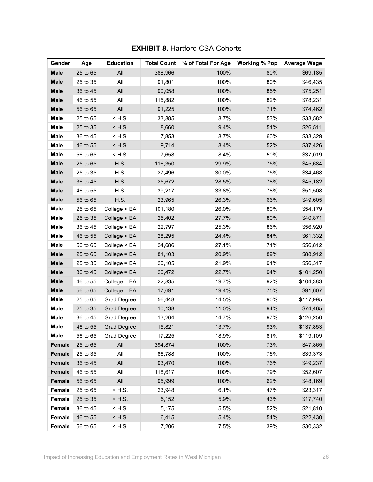| Gender      | Age      | <b>Education</b>   | <b>Total Count</b> | % of Total For Age | <b>Working % Pop</b> | <b>Average Wage</b> |
|-------------|----------|--------------------|--------------------|--------------------|----------------------|---------------------|
| <b>Male</b> | 25 to 65 | All                | 388,966            | 100%               | 80%                  | \$69,185            |
| <b>Male</b> | 25 to 35 | All                | 91,801             | 100%               | 80%                  | \$46,435            |
| <b>Male</b> | 36 to 45 | All                | 90,058             | 100%               | 85%                  | \$75,251            |
| <b>Male</b> | 46 to 55 | All                | 115,882            | 100%               | 82%                  | \$78,231            |
| <b>Male</b> | 56 to 65 | All                | 91,225             | 100%               | 71%                  | \$74,462            |
| Male        | 25 to 65 | $<$ H.S.           | 33,885             | 8.7%               | 53%                  | \$33,582            |
| <b>Male</b> | 25 to 35 | $<$ H.S.           | 8,660              | 9.4%               | 51%                  | \$26,511            |
| <b>Male</b> | 36 to 45 | $<$ H.S.           | 7,853              | 8.7%               | 60%                  | \$33,329            |
| <b>Male</b> | 46 to 55 | $<$ H.S.           | 9,714              | 8.4%               | 52%                  | \$37,426            |
| <b>Male</b> | 56 to 65 | $<$ H.S.           | 7,658              | 8.4%               | 50%                  | \$37,019            |
| <b>Male</b> | 25 to 65 | <b>H.S.</b>        | 116,350            | 29.9%              | 75%                  | \$45,684            |
| <b>Male</b> | 25 to 35 | H.S.               | 27,496             | 30.0%              | 75%                  | \$34,468            |
| <b>Male</b> | 36 to 45 | H.S.               | 25,672             | 28.5%              | 78%                  | \$45,182            |
| <b>Male</b> | 46 to 55 | H.S.               | 39,217             | 33.8%              | 78%                  | \$51,508            |
| <b>Male</b> | 56 to 65 | <b>H.S.</b>        | 23,965             | 26.3%              | 66%                  | \$49,605            |
| <b>Male</b> | 25 to 65 | College < BA       | 101,180            | 26.0%              | 80%                  | \$54,179            |
| <b>Male</b> | 25 to 35 | College < BA       | 25,402             | 27.7%              | 80%                  | \$40,871            |
| <b>Male</b> | 36 to 45 | College < BA       | 22,797             | 25.3%              | 86%                  | \$56,920            |
| <b>Male</b> | 46 to 55 | College < BA       | 28,295             | 24.4%              | 84%                  | \$61,332            |
| <b>Male</b> | 56 to 65 | College < BA       | 24,686             | 27.1%              | 71%                  | \$56,812            |
| <b>Male</b> | 25 to 65 | College = BA       | 81,103             | 20.9%              | 89%                  | \$88,912            |
| <b>Male</b> | 25 to 35 | $Collect = BA$     | 20,105             | 21.9%              | 91%                  | \$56,317            |
| <b>Male</b> | 36 to 45 | College = BA       | 20,472             | 22.7%              | 94%                  | \$101,250           |
| <b>Male</b> | 46 to 55 | College = BA       | 22,835             | 19.7%              | 92%                  | \$104,383           |
| <b>Male</b> | 56 to 65 | College = BA       | 17,691             | 19.4%              | 75%                  | \$91,607            |
| <b>Male</b> | 25 to 65 | Grad Degree        | 56,448             | 14.5%              | 90%                  | \$117,995           |
| <b>Male</b> | 25 to 35 | <b>Grad Degree</b> | 10,138             | 11.0%              | 94%                  | \$74,465            |
| <b>Male</b> | 36 to 45 | Grad Degree        | 13,264             | 14.7%              | 97%                  | \$126,250           |
| <b>Male</b> | 46 to 55 | <b>Grad Degree</b> | 15,821             | 13.7%              | 93%                  | \$137,853           |
| <b>Male</b> | 56 to 65 | <b>Grad Degree</b> | 17,225             | 18.9%              | 81%                  | \$119,109           |
| Female      | 25 to 65 | All                | 394,874            | 100%               | 73%                  | \$47,865            |
| Female      | 25 to 35 | All                | 86,788             | 100%               | 76%                  | \$39,373            |
| Female      | 36 to 45 | All                | 93,470             | 100%               | 76%                  | \$49,237            |
| Female      | 46 to 55 | All                | 118,617            | 100%               | 79%                  | \$52,607            |
| Female      | 56 to 65 | $\mathsf{All}$     | 95,999             | 100%               | 62%                  | \$48,169            |
| Female      | 25 to 65 | $<$ H.S.           | 23,948             | 6.1%               | 47%                  | \$23,317            |
| Female      | 25 to 35 | $<$ H.S.           | 5,152              | 5.9%               | 43%                  | \$17,740            |
| Female      | 36 to 45 | $<$ H.S.           | 5,175              | 5.5%               | 52%                  | \$21,810            |
| Female      | 46 to 55 | $<$ H.S.           | 6,415              | 5.4%               | 54%                  | \$22,430            |
| Female      | 56 to 65 | $<$ H.S.           | 7,206              | 7.5%               | 39%                  | \$30,332            |

## **EXHIBIT 8. Hartford CSA Cohorts**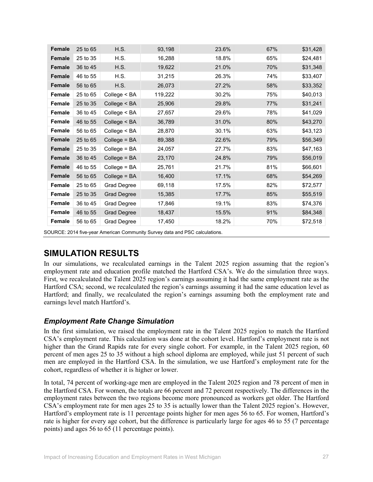| <b>Female</b> | 25 to 65 | <b>H.S.</b>        | 93,198  | 23.6% | 67% | \$31,428 |
|---------------|----------|--------------------|---------|-------|-----|----------|
| Female        | 25 to 35 | H.S.               | 16,288  | 18.8% | 65% | \$24,481 |
| <b>Female</b> | 36 to 45 | H.S.               | 19,622  | 21.0% | 70% | \$31,348 |
| <b>Female</b> | 46 to 55 | H.S.               | 31,215  | 26.3% | 74% | \$33,407 |
| <b>Female</b> | 56 to 65 | H.S.               | 26,073  | 27.2% | 58% | \$33,352 |
| <b>Female</b> | 25 to 65 | College < BA       | 119,222 | 30.2% | 75% | \$40,013 |
| Female        | 25 to 35 | College < BA       | 25,906  | 29.8% | 77% | \$31,241 |
| Female        | 36 to 45 | College < BA       | 27,657  | 29.6% | 78% | \$41,029 |
| <b>Female</b> | 46 to 55 | College < BA       | 36,789  | 31.0% | 80% | \$43,270 |
| Female        | 56 to 65 | College < BA       | 28,870  | 30.1% | 63% | \$43,123 |
| Female        | 25 to 65 | College = BA       | 89,388  | 22.6% | 79% | \$56,349 |
| <b>Female</b> | 25 to 35 | College = BA       | 24,057  | 27.7% | 83% | \$47,163 |
| Female        | 36 to 45 | College = BA       | 23,170  | 24.8% | 79% | \$56,019 |
| Female        | 46 to 55 | $Collect = BA$     | 25,761  | 21.7% | 81% | \$66,601 |
| Female        | 56 to 65 | College = BA       | 16,400  | 17.1% | 68% | \$54,269 |
| <b>Female</b> | 25 to 65 | Grad Degree        | 69,118  | 17.5% | 82% | \$72,577 |
| Female        | 25 to 35 | <b>Grad Degree</b> | 15,385  | 17.7% | 85% | \$55,519 |
| <b>Female</b> | 36 to 45 | Grad Degree        | 17,846  | 19.1% | 83% | \$74,376 |
| Female        | 46 to 55 | <b>Grad Degree</b> | 18,437  | 15.5% | 91% | \$84,348 |
| Female        | 56 to 65 | Grad Degree        | 17,450  | 18.2% | 70% | \$72,518 |

SOURCE: 2014 five-year American Community Survey data and PSC calculations.

# **SIMULATION RESULTS**

In our simulations, we recalculated earnings in the Talent 2025 region assuming that the region's employment rate and education profile matched the Hartford CSA's. We do the simulation three ways. First, we recalculated the Talent 2025 region's earnings assuming it had the same employment rate as the Hartford CSA; second, we recalculated the region's earnings assuming it had the same education level as Hartford; and finally, we recalculated the region's earnings assuming both the employment rate and earnings level match Hartford's.

#### *Employment Rate Change Simulation*

In the first simulation, we raised the employment rate in the Talent 2025 region to match the Hartford CSA's employment rate. This calculation was done at the cohort level. Hartford's employment rate is not higher than the Grand Rapids rate for every single cohort. For example, in the Talent 2025 region, 60 percent of men ages 25 to 35 without a high school diploma are employed, while just 51 percent of such men are employed in the Hartford CSA. In the simulation, we use Hartford's employment rate for the cohort, regardless of whether it is higher or lower.

In total, 74 percent of working-age men are employed in the Talent 2025 region and 78 percent of men in the Hartford CSA. For women, the totals are 66 percent and 72 percent respectively. The differences in the employment rates between the two regions become more pronounced as workers get older. The Hartford CSA's employment rate for men ages 25 to 35 is actually lower than the Talent 2025 region's. However, Hartford's employment rate is 11 percentage points higher for men ages 56 to 65. For women, Hartford's rate is higher for every age cohort, but the difference is particularly large for ages 46 to 55 (7 percentage points) and ages 56 to 65 (11 percentage points).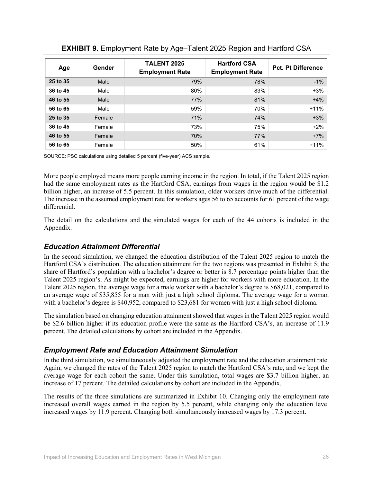| Age      | Gender | <b>TALENT 2025</b><br><b>Employment Rate</b> | <b>Hartford CSA</b><br><b>Employment Rate</b> | <b>Pct. Pt Difference</b> |
|----------|--------|----------------------------------------------|-----------------------------------------------|---------------------------|
| 25 to 35 | Male   | 79%                                          | 78%                                           | $-1\%$                    |
| 36 to 45 | Male   | 80%                                          | 83%                                           | $+3%$                     |
| 46 to 55 | Male   | 77%                                          | 81%                                           | $+4%$                     |
| 56 to 65 | Male   | 59%                                          | 70%                                           | $+11%$                    |
| 25 to 35 | Female | 71%                                          | 74%                                           | $+3%$                     |
| 36 to 45 | Female | 73%                                          | 75%                                           | $+2%$                     |
| 46 to 55 | Female | 70%                                          | 77%                                           | $+7%$                     |
| 56 to 65 | Female | 50%                                          | 61%                                           | $+11%$                    |

#### **EXHIBIT 9.** Employment Rate by Age–Talent 2025 Region and Hartford CSA

SOURCE: PSC calculations using detailed 5 percent (five-year) ACS sample.

More people employed means more people earning income in the region. In total, if the Talent 2025 region had the same employment rates as the Hartford CSA, earnings from wages in the region would be \$1.2 billion higher, an increase of 5.5 percent. In this simulation, older workers drive much of the differential. The increase in the assumed employment rate for workers ages 56 to 65 accounts for 61 percent of the wage differential.

The detail on the calculations and the simulated wages for each of the 44 cohorts is included in the Appendix.

#### *Education Attainment Differential*

In the second simulation, we changed the education distribution of the Talent 2025 region to match the Hartford CSA's distribution. The education attainment for the two regions was presented in Exhibit 5; the share of Hartford's population with a bachelor's degree or better is 8.7 percentage points higher than the Talent 2025 region's. As might be expected, earnings are higher for workers with more education. In the Talent 2025 region, the average wage for a male worker with a bachelor's degree is \$68,021, compared to an average wage of \$35,855 for a man with just a high school diploma. The average wage for a woman with a bachelor's degree is \$40,952, compared to \$23,681 for women with just a high school diploma.

The simulation based on changing education attainment showed that wages in the Talent 2025 region would be \$2.6 billion higher if its education profile were the same as the Hartford CSA's, an increase of 11.9 percent. The detailed calculations by cohort are included in the Appendix.

#### *Employment Rate and Education Attainment Simulation*

In the third simulation, we simultaneously adjusted the employment rate and the education attainment rate. Again, we changed the rates of the Talent 2025 region to match the Hartford CSA's rate, and we kept the average wage for each cohort the same. Under this simulation, total wages are \$3.7 billion higher, an increase of 17 percent. The detailed calculations by cohort are included in the Appendix.

The results of the three simulations are summarized in Exhibit 10. Changing only the employment rate increased overall wages earned in the region by 5.5 percent, while changing only the education level increased wages by 11.9 percent. Changing both simultaneously increased wages by 17.3 percent.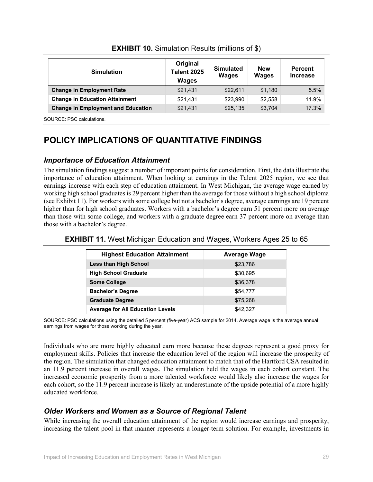| <b>Simulation</b>                         | Original<br><b>Talent 2025</b><br><b>Wages</b> | <b>Simulated</b><br><b>Wages</b> | <b>New</b><br><b>Wages</b> | <b>Percent</b><br><b>Increase</b> |
|-------------------------------------------|------------------------------------------------|----------------------------------|----------------------------|-----------------------------------|
| <b>Change in Employment Rate</b>          | \$21,431                                       | \$22,611                         | \$1.180                    | 5.5%                              |
| <b>Change in Education Attainment</b>     | \$21,431                                       | \$23,990                         | \$2,558                    | 11.9%                             |
| <b>Change in Employment and Education</b> | \$21,431                                       | \$25,135                         | \$3,704                    | 17.3%                             |

#### **EXHIBIT 10.** Simulation Results (millions of \$)

SOURCE: PSC calculations.

# **POLICY IMPLICATIONS OF QUANTITATIVE FINDINGS**

#### *Importance of Education Attainment*

The simulation findings suggest a number of important points for consideration. First, the data illustrate the importance of education attainment. When looking at earnings in the Talent 2025 region, we see that earnings increase with each step of education attainment. In West Michigan, the average wage earned by working high school graduatesis 29 percent higher than the average for those without a high school diploma (see Exhibit 11). For workers with some college but not a bachelor's degree, average earnings are 19 percent higher than for high school graduates. Workers with a bachelor's degree earn 51 percent more on average than those with some college, and workers with a graduate degree earn 37 percent more on average than those with a bachelor's degree.

| <b>Highest Education Attainment</b>     | <b>Average Wage</b> |
|-----------------------------------------|---------------------|
| <b>Less than High School</b>            | \$23,786            |
| <b>High School Graduate</b>             | \$30,695            |
| <b>Some College</b>                     | \$36,378            |
| <b>Bachelor's Degree</b>                | \$54,777            |
| <b>Graduate Degree</b>                  | \$75,268            |
| <b>Average for All Education Levels</b> | \$42.327            |

#### **EXHIBIT 11.** West Michigan Education and Wages, Workers Ages 25 to 65

SOURCE: PSC calculations using the detailed 5 percent (five-year) ACS sample for 2014. Average wage is the average annual earnings from wages for those working during the year.

Individuals who are more highly educated earn more because these degrees represent a good proxy for employment skills. Policies that increase the education level of the region will increase the prosperity of the region. The simulation that changed education attainment to match that of the Hartford CSA resulted in an 11.9 percent increase in overall wages. The simulation held the wages in each cohort constant. The increased economic prosperity from a more talented workforce would likely also increase the wages for each cohort, so the 11.9 percent increase is likely an underestimate of the upside potential of a more highly educated workforce.

#### *Older Workers and Women as a Source of Regional Talent*

While increasing the overall education attainment of the region would increase earnings and prosperity, increasing the talent pool in that manner represents a longer-term solution. For example, investments in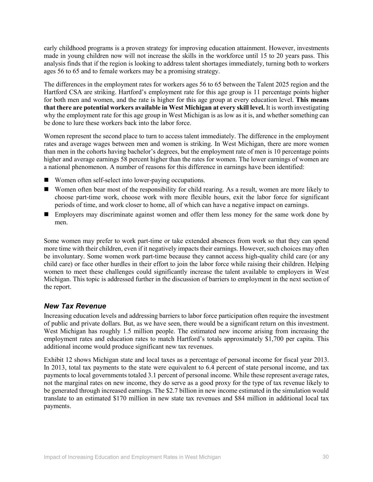early childhood programs is a proven strategy for improving education attainment. However, investments made in young children now will not increase the skills in the workforce until 15 to 20 years pass. This analysis finds that if the region is looking to address talent shortages immediately, turning both to workers ages 56 to 65 and to female workers may be a promising strategy.

The differences in the employment rates for workers ages 56 to 65 between the Talent 2025 region and the Hartford CSA are striking. Hartford's employment rate for this age group is 11 percentage points higher for both men and women, and the rate is higher for this age group at every education level. **This means that there are potential workers available in West Michigan at every skill level.** It is worth investigating why the employment rate for this age group in West Michigan is as low as it is, and whether something can be done to lure these workers back into the labor force.

Women represent the second place to turn to access talent immediately. The difference in the employment rates and average wages between men and women is striking. In West Michigan, there are more women than men in the cohorts having bachelor's degrees, but the employment rate of men is 10 percentage points higher and average earnings 58 percent higher than the rates for women. The lower earnings of women are a national phenomenon. A number of reasons for this difference in earnings have been identified:

- Women often self-select into lower-paying occupations.
- Women often bear most of the responsibility for child rearing. As a result, women are more likely to choose part-time work, choose work with more flexible hours, exit the labor force for significant periods of time, and work closer to home, all of which can have a negative impact on earnings.
- **Employers may discriminate against women and offer them less money for the same work done by** men.

Some women may prefer to work part-time or take extended absences from work so that they can spend more time with their children, even if it negatively impacts their earnings. However, such choices may often be involuntary. Some women work part-time because they cannot access high-quality child care (or any child care) or face other hurdles in their effort to join the labor force while raising their children. Helping women to meet these challenges could significantly increase the talent available to employers in West Michigan. This topic is addressed further in the discussion of barriers to employment in the next section of the report.

#### *New Tax Revenue*

Increasing education levels and addressing barriers to labor force participation often require the investment of public and private dollars. But, as we have seen, there would be a significant return on this investment. West Michigan has roughly 1.5 million people. The estimated new income arising from increasing the employment rates and education rates to match Hartford's totals approximately \$1,700 per capita. This additional income would produce significant new tax revenues.

Exhibit 12 shows Michigan state and local taxes as a percentage of personal income for fiscal year 2013. In 2013, total tax payments to the state were equivalent to 6.4 percent of state personal income, and tax payments to local governments totaled 3.1 percent of personal income. While these represent average rates, not the marginal rates on new income, they do serve as a good proxy for the type of tax revenue likely to be generated through increased earnings. The \$2.7 billion in new income estimated in the simulation would translate to an estimated \$170 million in new state tax revenues and \$84 million in additional local tax payments.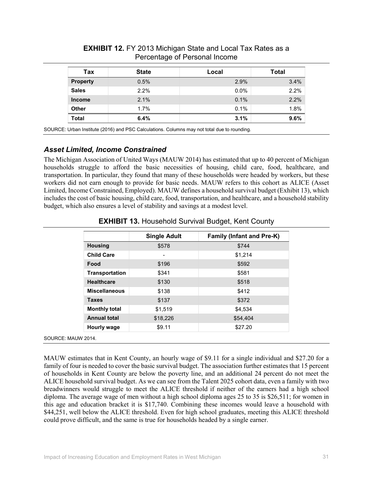| Tax             | <b>State</b> | Local | <b>Total</b> |
|-----------------|--------------|-------|--------------|
| <b>Property</b> | 0.5%         | 2.9%  | 3.4%         |
| <b>Sales</b>    | 2.2%         | 0.0%  | 2.2%         |
| <b>Income</b>   | 2.1%         | 0.1%  | 2.2%         |
| <b>Other</b>    | 1.7%         | 0.1%  | 1.8%         |
| <b>Total</b>    | 6.4%         | 3.1%  | 9.6%         |

**EXHIBIT 12.** FY 2013 Michigan State and Local Tax Rates as a Percentage of Personal Income

SOURCE: Urban Institute (2016) and PSC Calculations. Columns may not total due to rounding.

#### *Asset Limited, Income Constrained*

The Michigan Association of United Ways (MAUW 2014) has estimated that up to 40 percent of Michigan households struggle to afford the basic necessities of housing, child care, food, healthcare, and transportation. In particular, they found that many of these households were headed by workers, but these workers did not earn enough to provide for basic needs. MAUW refers to this cohort as ALICE (Asset Limited, Income Constrained, Employed). MAUW defines a household survival budget (Exhibit 13), which includes the cost of basic housing, child care, food, transportation, and healthcare, and a household stability budget, which also ensures a level of stability and savings at a modest level.

|                       | <b>Single Adult</b> | <b>Family (Infant and Pre-K)</b> |
|-----------------------|---------------------|----------------------------------|
| <b>Housing</b>        | \$578               | \$744                            |
| <b>Child Care</b>     | -                   | \$1,214                          |
| Food                  | \$196               | \$592                            |
| <b>Transportation</b> | \$341               | \$581                            |
| <b>Healthcare</b>     | \$130               | \$518                            |
| <b>Miscellaneous</b>  | \$138               | \$412                            |
| <b>Taxes</b>          | \$137               | \$372                            |
| <b>Monthly total</b>  | \$1,519             | \$4,534                          |
| <b>Annual total</b>   | \$18,226            | \$54,404                         |
| Hourly wage           | \$9.11              | \$27.20                          |
| SOURCE: MAUW 2014.    |                     |                                  |

**EXHIBIT 13.** Household Survival Budget, Kent County

MAUW estimates that in Kent County, an hourly wage of \$9.11 for a single individual and \$27.20 for a family of four is needed to cover the basic survival budget. The association further estimates that 15 percent of households in Kent County are below the poverty line, and an additional 24 percent do not meet the ALICE household survival budget. As we can see from the Talent 2025 cohort data, even a family with two breadwinners would struggle to meet the ALICE threshold if neither of the earners had a high school diploma. The average wage of men without a high school diploma ages 25 to 35 is \$26,511; for women in this age and education bracket it is \$17,740. Combining these incomes would leave a household with \$44,251, well below the ALICE threshold. Even for high school graduates, meeting this ALICE threshold could prove difficult, and the same is true for households headed by a single earner.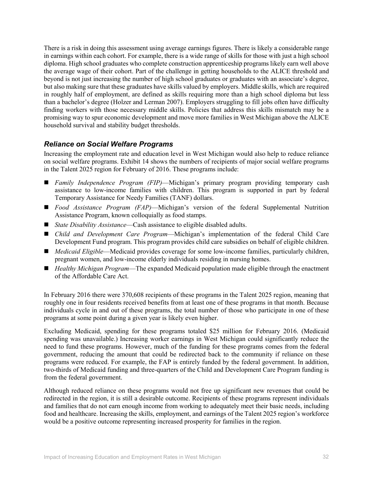There is a risk in doing this assessment using average earnings figures. There is likely a considerable range in earnings within each cohort. For example, there is a wide range of skills for those with just a high school diploma. High school graduates who complete construction apprenticeship programs likely earn well above the average wage of their cohort. Part of the challenge in getting households to the ALICE threshold and beyond is not just increasing the number of high school graduates or graduates with an associate's degree, but also making sure that these graduates have skills valued by employers. Middle skills, which are required in roughly half of employment, are defined as skills requiring more than a high school diploma but less than a bachelor's degree (Holzer and Lerman 2007). Employers struggling to fill jobs often have difficulty finding workers with those necessary middle skills. Policies that address this skills mismatch may be a promising way to spur economic development and move more families in West Michigan above the ALICE household survival and stability budget thresholds.

#### *Reliance on Social Welfare Programs*

Increasing the employment rate and education level in West Michigan would also help to reduce reliance on social welfare programs. Exhibit 14 shows the numbers of recipients of major social welfare programs in the Talent 2025 region for February of 2016. These programs include:

- *Family Independence Program (FIP)*—Michigan's primary program providing temporary cash assistance to low-income families with children. This program is supported in part by federal Temporary Assistance for Needy Families (TANF) dollars.
- *Food Assistance Program (FAP)*—Michigan's version of the federal Supplemental Nutrition Assistance Program, known colloquially as food stamps.
- *State Disability Assistance*—Cash assistance to eligible disabled adults.
- *Child and Development Care Program*—Michigan's implementation of the federal Child Care Development Fund program. This program provides child care subsidies on behalf of eligible children.
- *Medicaid Eligible*—Medicaid provides coverage for some low-income families, particularly children, pregnant women, and low-income elderly individuals residing in nursing homes.
- *Healthy Michigan Program*—The expanded Medicaid population made eligible through the enactment of the Affordable Care Act.

In February 2016 there were 370,608 recipients of these programs in the Talent 2025 region, meaning that roughly one in four residents received benefits from at least one of these programs in that month. Because individuals cycle in and out of these programs, the total number of those who participate in one of these programs at some point during a given year is likely even higher.

Excluding Medicaid, spending for these programs totaled \$25 million for February 2016. (Medicaid spending was unavailable.) Increasing worker earnings in West Michigan could significantly reduce the need to fund these programs. However, much of the funding for these programs comes from the federal government, reducing the amount that could be redirected back to the community if reliance on these programs were reduced. For example, the FAP is entirely funded by the federal government. In addition, two-thirds of Medicaid funding and three-quarters of the Child and Development Care Program funding is from the federal government.

Although reduced reliance on these programs would not free up significant new revenues that could be redirected in the region, it is still a desirable outcome. Recipients of these programs represent individuals and families that do not earn enough income from working to adequately meet their basic needs, including food and healthcare. Increasing the skills, employment, and earnings of the Talent 2025 region's workforce would be a positive outcome representing increased prosperity for families in the region.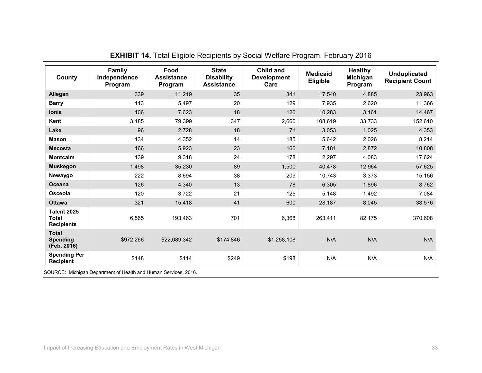| County                                           | Family<br>Independence<br>Program | Food<br><b>Assistance</b><br>Program | <b>State</b><br><b>Disability</b><br><b>Assistance</b> | Child and<br><b>Development</b><br>Care | <b>Medicaid</b><br><b>Eligible</b> | <b>Healthy</b><br>Michigan<br>Program | <b>Unduplicated</b><br><b>Recipient Count</b> |
|--------------------------------------------------|-----------------------------------|--------------------------------------|--------------------------------------------------------|-----------------------------------------|------------------------------------|---------------------------------------|-----------------------------------------------|
| Allegan                                          | 339                               | 11,219                               | 35                                                     | 341                                     | 17,540                             | 4,885                                 | 23,963                                        |
| <b>Barry</b>                                     | 113                               | 5,497                                | 20                                                     | 129                                     | 7,935                              | 2,620                                 | 11,366                                        |
| <b>lonia</b>                                     | 106                               | 7,623                                | 18                                                     | 126                                     | 10,283                             | 3,161                                 | 14,467                                        |
| Kent                                             | 3,185                             | 79,399                               | 347                                                    | 2,660                                   | 108,619                            | 33,733                                | 152,610                                       |
| Lake                                             | 96                                | 2,728                                | 18                                                     | 71                                      | 3,053                              | 1,025                                 | 4,353                                         |
| <b>Mason</b>                                     | 134                               | 4,352                                | 14                                                     | 185                                     | 5,642                              | 2,026                                 | 8,214                                         |
| <b>Mecosta</b>                                   | 166                               | 5,923                                | 23                                                     | 166                                     | 7,181                              | 2,872                                 | 10,808                                        |
| <b>Montcalm</b>                                  | 139                               | 9,318                                | 24                                                     | 178                                     | 12,297                             | 4,083                                 | 17,624                                        |
| <b>Muskegon</b>                                  | 1,498                             | 35,230                               | 89                                                     | 1,500                                   | 40,478                             | 12,964                                | 57,625                                        |
| Newaygo                                          | 222                               | 8,694                                | 38                                                     | 209                                     | 10,743                             | 3,373                                 | 15,156                                        |
| <b>Oceana</b>                                    | 126                               | 4,340                                | 13                                                     | 78                                      | 6,305                              | 1,896                                 | 8,762                                         |
| Osceola                                          | 120                               | 3,722                                | 21                                                     | 125                                     | 5,148                              | 1,492                                 | 7,084                                         |
| <b>Ottawa</b>                                    | 321                               | 15,418                               | 41                                                     | 600                                     | 28,187                             | 8,045                                 | 38,576                                        |
| <b>Talent 2025</b><br>Total<br><b>Recipients</b> | 6,565                             | 193,463                              | 701                                                    | 6,368                                   | 263,411                            | 82,175                                | 370,608                                       |
| <b>Total</b><br><b>Spending</b><br>(Feb. 2016)   | \$972,266                         | \$22,089,342                         | \$174,846                                              | \$1,258,108                             | N/A                                | N/A                                   | N/A                                           |
| <b>Spending Per</b><br><b>Recipient</b>          | \$148                             | \$114                                | \$249                                                  | \$198                                   | N/A                                | N/A                                   | N/A                                           |

### **EXHIBIT 14.** Total Eligible Recipients by Social Welfare Program, February 2016

SOURCE: Michigan Department of Health and Human Services, 2016.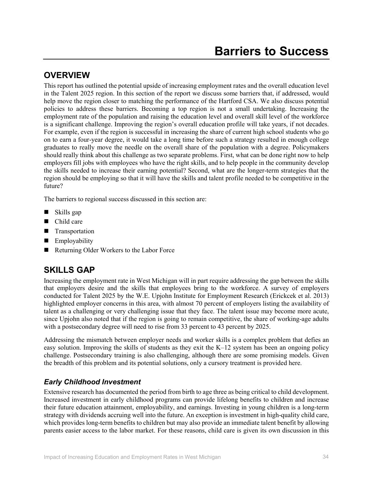## **OVERVIEW**

This report has outlined the potential upside of increasing employment rates and the overall education level in the Talent 2025 region. In this section of the report we discuss some barriers that, if addressed, would help move the region closer to matching the performance of the Hartford CSA. We also discuss potential policies to address these barriers. Becoming a top region is not a small undertaking. Increasing the employment rate of the population and raising the education level and overall skill level of the workforce is a significant challenge. Improving the region's overall education profile will take years, if not decades. For example, even if the region is successful in increasing the share of current high school students who go on to earn a four-year degree, it would take a long time before such a strategy resulted in enough college graduates to really move the needle on the overall share of the population with a degree. Policymakers should really think about this challenge as two separate problems. First, what can be done right now to help employers fill jobs with employees who have the right skills, and to help people in the community develop the skills needed to increase their earning potential? Second, what are the longer-term strategies that the region should be employing so that it will have the skills and talent profile needed to be competitive in the future?

The barriers to regional success discussed in this section are:

- Skills gap
- Child care
- **Transportation**
- **Employability**
- Returning Older Workers to the Labor Force

## **SKILLS GAP**

Increasing the employment rate in West Michigan will in part require addressing the gap between the skills that employers desire and the skills that employees bring to the workforce. A survey of employers conducted for Talent 2025 by the W.E. Upjohn Institute for Employment Research (Erickcek et al. 2013) highlighted employer concerns in this area, with almost 70 percent of employers listing the availability of talent as a challenging or very challenging issue that they face. The talent issue may become more acute, since Upjohn also noted that if the region is going to remain competitive, the share of working-age adults with a postsecondary degree will need to rise from 33 percent to 43 percent by 2025.

Addressing the mismatch between employer needs and worker skills is a complex problem that defies an easy solution. Improving the skills of students as they exit the K–12 system has been an ongoing policy challenge. Postsecondary training is also challenging, although there are some promising models. Given the breadth of this problem and its potential solutions, only a cursory treatment is provided here.

#### *Early Childhood Investment*

Extensive research has documented the period from birth to age three as being critical to child development. Increased investment in early childhood programs can provide lifelong benefits to children and increase their future education attainment, employability, and earnings. Investing in young children is a long-term strategy with dividends accruing well into the future. An exception is investment in high-quality child care, which provides long-term benefits to children but may also provide an immediate talent benefit by allowing parents easier access to the labor market. For these reasons, child care is given its own discussion in this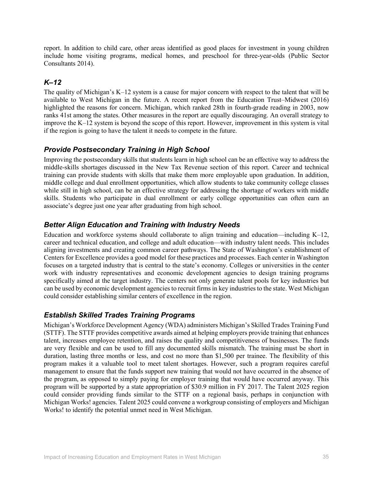report. In addition to child care, other areas identified as good places for investment in young children include home visiting programs, medical homes, and preschool for three-year-olds (Public Sector Consultants 2014).

#### *K–12*

The quality of Michigan's K–12 system is a cause for major concern with respect to the talent that will be available to West Michigan in the future. A recent report from the Education Trust–Midwest (2016) highlighted the reasons for concern. Michigan, which ranked 28th in fourth-grade reading in 2003, now ranks 41st among the states. Other measures in the report are equally discouraging. An overall strategy to improve the K–12 system is beyond the scope of this report. However, improvement in this system is vital if the region is going to have the talent it needs to compete in the future.

#### *Provide Postsecondary Training in High School*

Improving the postsecondary skills that students learn in high school can be an effective way to address the middle-skills shortages discussed in the New Tax Revenue section of this report. Career and technical training can provide students with skills that make them more employable upon graduation. In addition, middle college and dual enrollment opportunities, which allow students to take community college classes while still in high school, can be an effective strategy for addressing the shortage of workers with middle skills. Students who participate in dual enrollment or early college opportunities can often earn an associate's degree just one year after graduating from high school.

#### *Better Align Education and Training with Industry Needs*

Education and workforce systems should collaborate to align training and education—including K–12, career and technical education, and college and adult education—with industry talent needs. This includes aligning investments and creating common career pathways. The State of Washington's establishment of Centers for Excellence provides a good model for these practices and processes. Each center in Washington focuses on a targeted industry that is central to the state's economy. Colleges or universities in the center work with industry representatives and economic development agencies to design training programs specifically aimed at the target industry. The centers not only generate talent pools for key industries but can be used by economic development agencies to recruit firms in key industries to the state. West Michigan could consider establishing similar centers of excellence in the region.

#### *Establish Skilled Trades Training Programs*

Michigan's Workforce Development Agency (WDA) administers Michigan's Skilled Trades Training Fund (STTF). The STTF provides competitive awards aimed at helping employers provide training that enhances talent, increases employee retention, and raises the quality and competitiveness of businesses. The funds are very flexible and can be used to fill any documented skills mismatch. The training must be short in duration, lasting three months or less, and cost no more than \$1,500 per trainee. The flexibility of this program makes it a valuable tool to meet talent shortages. However, such a program requires careful management to ensure that the funds support new training that would not have occurred in the absence of the program, as opposed to simply paying for employer training that would have occurred anyway. This program will be supported by a state appropriation of \$30.9 million in FY 2017. The Talent 2025 region could consider providing funds similar to the STTF on a regional basis, perhaps in conjunction with Michigan Works! agencies. Talent 2025 could convene a workgroup consisting of employers and Michigan Works! to identify the potential unmet need in West Michigan.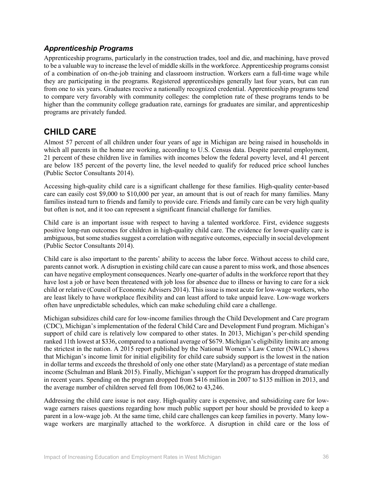#### *Apprenticeship Programs*

Apprenticeship programs, particularly in the construction trades, tool and die, and machining, have proved to be a valuable way to increase the level of middle skills in the workforce. Apprenticeship programs consist of a combination of on-the-job training and classroom instruction. Workers earn a full-time wage while they are participating in the programs. Registered apprenticeships generally last four years, but can run from one to six years. Graduates receive a nationally recognized credential. Apprenticeship programs tend to compare very favorably with community colleges: the completion rate of these programs tends to be higher than the community college graduation rate, earnings for graduates are similar, and apprenticeship programs are privately funded.

## **CHILD CARE**

Almost 57 percent of all children under four years of age in Michigan are being raised in households in which all parents in the home are working, according to U.S. Census data. Despite parental employment, 21 percent of these children live in families with incomes below the federal poverty level, and 41 percent are below 185 percent of the poverty line, the level needed to qualify for reduced price school lunches (Public Sector Consultants 2014).

Accessing high-quality child care is a significant challenge for these families. High-quality center-based care can easily cost \$9,000 to \$10,000 per year, an amount that is out of reach for many families. Many families instead turn to friends and family to provide care. Friends and family care can be very high quality but often is not, and it too can represent a significant financial challenge for families.

Child care is an important issue with respect to having a talented workforce. First, evidence suggests positive long-run outcomes for children in high-quality child care. The evidence for lower-quality care is ambiguous, but some studies suggest a correlation with negative outcomes, especially in social development (Public Sector Consultants 2014).

Child care is also important to the parents' ability to access the labor force. Without access to child care, parents cannot work. A disruption in existing child care can cause a parent to miss work, and those absences can have negative employment consequences. Nearly one-quarter of adults in the workforce report that they have lost a job or have been threatened with job loss for absence due to illness or having to care for a sick child or relative (Council of Economic Advisers 2014). This issue is most acute for low-wage workers, who are least likely to have workplace flexibility and can least afford to take unpaid leave. Low-wage workers often have unpredictable schedules, which can make scheduling child care a challenge.

Michigan subsidizes child care for low-income families through the Child Development and Care program (CDC), Michigan's implementation of the federal Child Care and Development Fund program. Michigan's support of child care is relatively low compared to other states. In 2013, Michigan's per-child spending ranked 11th lowest at \$336, compared to a national average of \$679. Michigan's eligibility limits are among the strictest in the nation. A 2015 report published by the National Women's Law Center (NWLC) shows that Michigan's income limit for initial eligibility for child care subsidy support is the lowest in the nation in dollar terms and exceeds the threshold of only one other state (Maryland) as a percentage of state median income (Schulman and Blank 2015). Finally, Michigan's support for the program has dropped dramatically in recent years. Spending on the program dropped from \$416 million in 2007 to \$135 million in 2013, and the average number of children served fell from 106,062 to 43,246.

Addressing the child care issue is not easy. High-quality care is expensive, and subsidizing care for lowwage earners raises questions regarding how much public support per hour should be provided to keep a parent in a low-wage job. At the same time, child care challenges can keep families in poverty. Many lowwage workers are marginally attached to the workforce. A disruption in child care or the loss of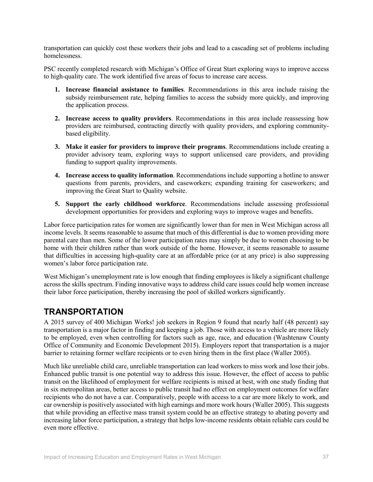transportation can quickly cost these workers their jobs and lead to a cascading set of problems including homelessness.

PSC recently completed research with Michigan's Office of Great Start exploring ways to improve access to high-quality care. The work identified five areas of focus to increase care access.

- **1. Increase financial assistance to families**. Recommendations in this area include raising the subsidy reimbursement rate, helping families to access the subsidy more quickly, and improving the application process.
- **2. Increase access to quality providers**. Recommendations in this area include reassessing how providers are reimbursed, contracting directly with quality providers, and exploring communitybased eligibility.
- **3. Make it easier for providers to improve their programs**. Recommendations include creating a provider advisory team, exploring ways to support unlicensed care providers, and providing funding to support quality improvements.
- **4. Increase access to quality information**. Recommendations include supporting a hotline to answer questions from parents, providers, and caseworkers; expanding training for caseworkers; and improving the Great Start to Quality website.
- **5. Support the early childhood workforce**. Recommendations include assessing professional development opportunities for providers and exploring ways to improve wages and benefits.

Labor force participation rates for women are significantly lower than for men in West Michigan across all income levels. It seems reasonable to assume that much of this differential is due to women providing more parental care than men. Some of the lower participation rates may simply be due to women choosing to be home with their children rather than work outside of the home. However, it seems reasonable to assume that difficulties in accessing high-quality care at an affordable price (or at any price) is also suppressing women's labor force participation rate.

West Michigan's unemployment rate is low enough that finding employees is likely a significant challenge across the skills spectrum. Finding innovative ways to address child care issues could help women increase their labor force participation, thereby increasing the pool of skilled workers significantly.

## **TRANSPORTATION**

A 2015 survey of 400 Michigan Works! job seekers in Region 9 found that nearly half (48 percent) say transportation is a major factor in finding and keeping a job. Those with access to a vehicle are more likely to be employed, even when controlling for factors such as age, race, and education (Washtenaw County Office of Community and Economic Development 2015). Employers report that transportation is a major barrier to retaining former welfare recipients or to even hiring them in the first place (Waller 2005).

Much like unreliable child care, unreliable transportation can lead workers to miss work and lose their jobs. Enhanced public transit is one potential way to address this issue. However, the effect of access to public transit on the likelihood of employment for welfare recipients is mixed at best, with one study finding that in six metropolitan areas, better access to public transit had no effect on employment outcomes for welfare recipients who do not have a car. Comparatively, people with access to a car are more likely to work, and car ownership is positively associated with high earnings and more work hours (Waller 2005). This suggests that while providing an effective mass transit system could be an effective strategy to abating poverty and increasing labor force participation, a strategy that helps low-income residents obtain reliable cars could be even more effective.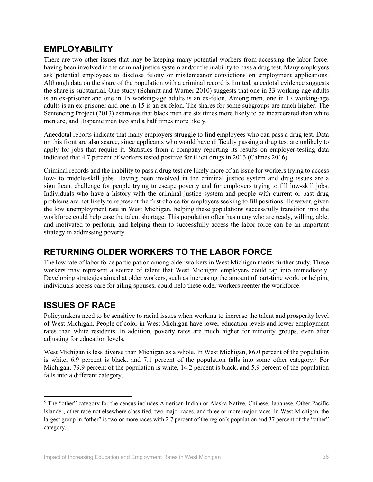## **EMPLOYABILITY**

There are two other issues that may be keeping many potential workers from accessing the labor force: having been involved in the criminal justice system and/or the inability to pass a drug test. Many employers ask potential employees to disclose felony or misdemeanor convictions on employment applications. Although data on the share of the population with a criminal record is limited, anecdotal evidence suggests the share is substantial. One study (Schmitt and Warner 2010) suggests that one in 33 working-age adults is an ex-prisoner and one in 15 working-age adults is an ex-felon. Among men, one in 17 working-age adults is an ex-prisoner and one in 15 is an ex-felon. The shares for some subgroups are much higher. The Sentencing Project (2013) estimates that black men are six times more likely to be incarcerated than white men are, and Hispanic men two and a half times more likely.

Anecdotal reports indicate that many employers struggle to find employees who can pass a drug test. Data on this front are also scarce, since applicants who would have difficulty passing a drug test are unlikely to apply for jobs that require it. Statistics from a company reporting its results on employer-testing data indicated that 4.7 percent of workers tested positive for illicit drugs in 2013 (Calmes 2016).

Criminal records and the inability to pass a drug test are likely more of an issue for workers trying to access low- to middle-skill jobs. Having been involved in the criminal justice system and drug issues are a significant challenge for people trying to escape poverty and for employers trying to fill low-skill jobs. Individuals who have a history with the criminal justice system and people with current or past drug problems are not likely to represent the first choice for employers seeking to fill positions. However, given the low unemployment rate in West Michigan, helping these populations successfully transition into the workforce could help ease the talent shortage. This population often has many who are ready, willing, able, and motivated to perform, and helping them to successfully access the labor force can be an important strategy in addressing poverty.

# **RETURNING OLDER WORKERS TO THE LABOR FORCE**

The low rate of labor force participation among older workers in West Michigan merits further study. These workers may represent a source of talent that West Michigan employers could tap into immediately. Developing strategies aimed at older workers, such as increasing the amount of part-time work, or helping individuals access care for ailing spouses, could help these older workers reenter the workforce.

# **ISSUES OF RACE**

l

Policymakers need to be sensitive to racial issues when working to increase the talent and prosperity level of West Michigan. People of color in West Michigan have lower education levels and lower employment rates than white residents. In addition, poverty rates are much higher for minority groups, even after adjusting for education levels.

West Michigan is less diverse than Michigan as a whole. In West Michigan, 86.0 percent of the population is white,  $6.9$  percent is black, and 7.1 percent of the population falls into some other category.<sup>5</sup> For Michigan, 79.9 percent of the population is white, 14.2 percent is black, and 5.9 percent of the population falls into a different category.

<sup>&</sup>lt;sup>5</sup> The "other" category for the census includes American Indian or Alaska Native, Chinese, Japanese, Other Pacific Islander, other race not elsewhere classified, two major races, and three or more major races. In West Michigan, the largest group in "other" is two or more races with 2.7 percent of the region's population and 37 percent of the "other" category.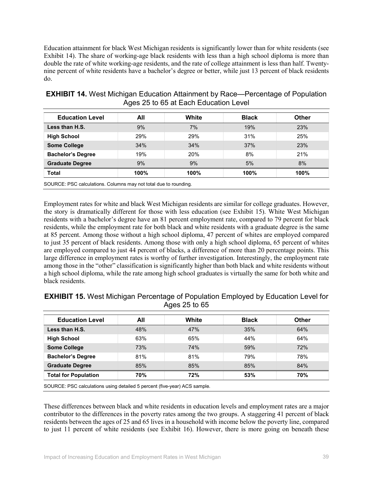Education attainment for black West Michigan residents is significantly lower than for white residents (see Exhibit 14). The share of working-age black residents with less than a high school diploma is more than double the rate of white working-age residents, and the rate of college attainment is less than half. Twentynine percent of white residents have a bachelor's degree or better, while just 13 percent of black residents do.

| <b>Education Level</b>                                           | All  | White | <b>Black</b> | <b>Other</b> |  |  |
|------------------------------------------------------------------|------|-------|--------------|--------------|--|--|
| Less than H.S.                                                   | 9%   | 7%    | 19%          | 23%          |  |  |
| <b>High School</b>                                               | 29%  | 29%   | 31%          | 25%          |  |  |
| <b>Some College</b>                                              | 34%  | 34%   | 37%          | 23%          |  |  |
| <b>Bachelor's Degree</b>                                         | 19%  | 20%   | 8%           | 21%          |  |  |
| <b>Graduate Degree</b>                                           | 9%   | 9%    | 5%           | 8%           |  |  |
| <b>Total</b>                                                     | 100% | 100%  | 100%         | $100\%$      |  |  |
| SOURCE: PSC calculations. Columns may not total due to rounding. |      |       |              |              |  |  |

**EXHIBIT 14.** West Michigan Education Attainment by Race—Percentage of Population Ages 25 to 65 at Each Education Level

Employment rates for white and black West Michigan residents are similar for college graduates. However, the story is dramatically different for those with less education (see Exhibit 15). White West Michigan residents with a bachelor's degree have an 81 percent employment rate, compared to 79 percent for black residents, while the employment rate for both black and white residents with a graduate degree is the same at 85 percent. Among those without a high school diploma, 47 percent of whites are employed compared to just 35 percent of black residents. Among those with only a high school diploma, 65 percent of whites are employed compared to just 44 percent of blacks, a difference of more than 20 percentage points. This large difference in employment rates is worthy of further investigation. Interestingly, the employment rate among those in the "other" classification is significantly higher than both black and white residents without a high school diploma, while the rate among high school graduates is virtually the same for both white and

| <b>Education Level</b>      | All | White | <b>Black</b> | Other |
|-----------------------------|-----|-------|--------------|-------|
| Less than H.S.              | 48% | 47%   | 35%          | 64%   |
| <b>High School</b>          | 63% | 65%   | 44%          | 64%   |
| <b>Some College</b>         | 73% | 74%   | 59%          | 72%   |
| <b>Bachelor's Degree</b>    | 81% | 81%   | 79%          | 78%   |
| <b>Graduate Degree</b>      | 85% | 85%   | 85%          | 84%   |
| <b>Total for Population</b> | 70% | 72%   | 53%          | 70%   |

**EXHIBIT 15.** West Michigan Percentage of Population Employed by Education Level for Ages 25 to 65

SOURCE: PSC calculations using detailed 5 percent (five-year) ACS sample.

black residents.

These differences between black and white residents in education levels and employment rates are a major contributor to the differences in the poverty rates among the two groups. A staggering 41 percent of black residents between the ages of 25 and 65 lives in a household with income below the poverty line, compared to just 11 percent of white residents (see Exhibit 16). However, there is more going on beneath these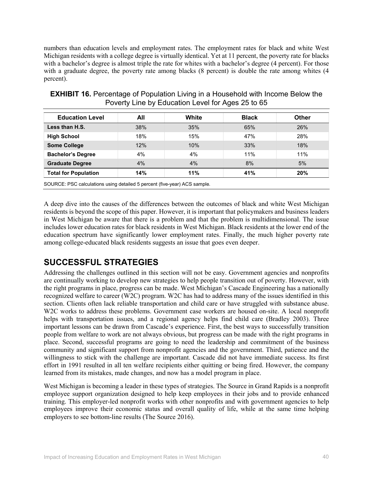numbers than education levels and employment rates. The employment rates for black and white West Michigan residents with a college degree is virtually identical. Yet at 11 percent, the poverty rate for blacks with a bachelor's degree is almost triple the rate for whites with a bachelor's degree (4 percent). For those with a graduate degree, the poverty rate among blacks (8 percent) is double the rate among whites (4 percent).

| <b>Education Level</b>      | All | White | <b>Black</b> | <b>Other</b> |
|-----------------------------|-----|-------|--------------|--------------|
| Less than H.S.              | 38% | 35%   | 65%          | 26%          |
| <b>High School</b>          | 18% | 15%   | 47%          | 28%          |
| <b>Some College</b>         | 12% | 10%   | 33%          | 18%          |
| <b>Bachelor's Degree</b>    | 4%  | 4%    | 11%          | 11%          |
| <b>Graduate Degree</b>      | 4%  | $4\%$ | 8%           | 5%           |
| <b>Total for Population</b> | 14% | 11%   | 41%          | 20%          |

**EXHIBIT 16.** Percentage of Population Living in a Household with Income Below the Poverty Line by Education Level for Ages 25 to 65

A deep dive into the causes of the differences between the outcomes of black and white West Michigan residents is beyond the scope of this paper. However, it is important that policymakers and business leaders in West Michigan be aware that there is a problem and that the problem is multidimensional. The issue includes lower education rates for black residents in West Michigan. Black residents at the lower end of the education spectrum have significantly lower employment rates. Finally, the much higher poverty rate among college-educated black residents suggests an issue that goes even deeper.

# **SUCCESSFUL STRATEGIES**

Addressing the challenges outlined in this section will not be easy. Government agencies and nonprofits are continually working to develop new strategies to help people transition out of poverty. However, with the right programs in place, progress can be made. West Michigan's Cascade Engineering has a nationally recognized welfare to career (W2C) program. W2C has had to address many of the issues identified in this section. Clients often lack reliable transportation and child care or have struggled with substance abuse. W2C works to address these problems. Government case workers are housed on-site. A local nonprofit helps with transportation issues, and a regional agency helps find child care (Bradley 2003). Three important lessons can be drawn from Cascade's experience. First, the best ways to successfully transition people from welfare to work are not always obvious, but progress can be made with the right programs in place. Second, successful programs are going to need the leadership and commitment of the business community and significant support from nonprofit agencies and the government. Third, patience and the willingness to stick with the challenge are important. Cascade did not have immediate success. Its first effort in 1991 resulted in all ten welfare recipients either quitting or being fired. However, the company learned from its mistakes, made changes, and now has a model program in place.

West Michigan is becoming a leader in these types of strategies. The Source in Grand Rapids is a nonprofit employee support organization designed to help keep employees in their jobs and to provide enhanced training. This employer-led nonprofit works with other nonprofits and with government agencies to help employees improve their economic status and overall quality of life, while at the same time helping employers to see bottom-line results (The Source 2016).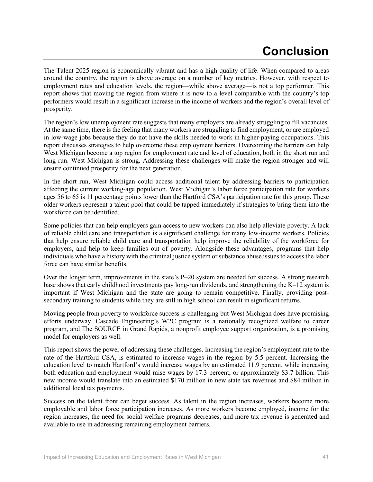# **Conclusion**

The Talent 2025 region is economically vibrant and has a high quality of life. When compared to areas around the country, the region is above average on a number of key metrics. However, with respect to employment rates and education levels, the region—while above average—is not a top performer. This report shows that moving the region from where it is now to a level comparable with the country's top performers would result in a significant increase in the income of workers and the region's overall level of prosperity.

The region's low unemployment rate suggests that many employers are already struggling to fill vacancies. At the same time, there is the feeling that many workers are struggling to find employment, or are employed in low-wage jobs because they do not have the skills needed to work in higher-paying occupations. This report discusses strategies to help overcome these employment barriers. Overcoming the barriers can help West Michigan become a top region for employment rate and level of education, both in the short run and long run. West Michigan is strong. Addressing these challenges will make the region stronger and will ensure continued prosperity for the next generation.

In the short run, West Michigan could access additional talent by addressing barriers to participation affecting the current working-age population. West Michigan's labor force participation rate for workers ages 56 to 65 is 11 percentage points lower than the Hartford CSA's participation rate for this group. These older workers represent a talent pool that could be tapped immediately if strategies to bring them into the workforce can be identified.

Some policies that can help employers gain access to new workers can also help alleviate poverty. A lack of reliable child care and transportation is a significant challenge for many low-income workers. Policies that help ensure reliable child care and transportation help improve the reliability of the workforce for employers, and help to keep families out of poverty. Alongside these advantages, programs that help individuals who have a history with the criminal justice system or substance abuse issues to access the labor force can have similar benefits.

Over the longer term, improvements in the state's P–20 system are needed for success. A strong research base shows that early childhood investments pay long-run dividends, and strengthening the K–12 system is important if West Michigan and the state are going to remain competitive. Finally, providing postsecondary training to students while they are still in high school can result in significant returns.

Moving people from poverty to workforce success is challenging but West Michigan does have promising efforts underway. Cascade Engineering's W2C program is a nationally recognized welfare to career program, and The SOURCE in Grand Rapids, a nonprofit employee support organization, is a promising model for employers as well.

This report shows the power of addressing these challenges. Increasing the region's employment rate to the rate of the Hartford CSA, is estimated to increase wages in the region by 5.5 percent. Increasing the education level to match Hartford's would increase wages by an estimated 11.9 percent, while increasing both education and employment would raise wages by 17.3 percent, or approximately \$3.7 billion. This new income would translate into an estimated \$170 million in new state tax revenues and \$84 million in additional local tax payments.

Success on the talent front can beget success. As talent in the region increases, workers become more employable and labor force participation increases. As more workers become employed, income for the region increases, the need for social welfare programs decreases, and more tax revenue is generated and available to use in addressing remaining employment barriers.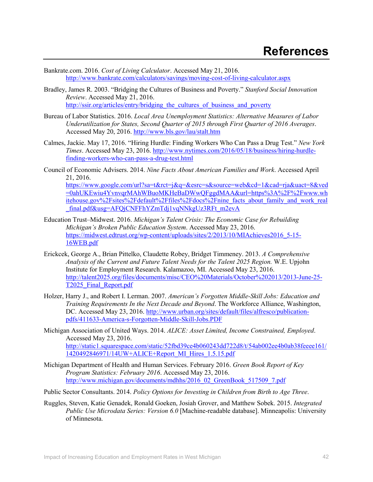- Bankrate.com. 2016. *Cost of Living Calculator*. Accessed May 21, 2016. http://www.bankrate.com/calculators/savings/moving-cost-of-living-calculator.aspx
- Bradley, James R. 2003. "Bridging the Cultures of Business and Poverty." *Stanford Social Innovation Review*. Accessed May 21, 2016. http://ssir.org/articles/entry/bridging the cultures of business and poverty
- Bureau of Labor Statistics. 2016. *Local Area Unemployment Statistics: Alternative Measures of Labor Underutilization for States, Second Quarter of 2015 through First Quarter of 2016 Averages*. Accessed May 20, 2016. http://www.bls.gov/lau/stalt.htm
- Calmes, Jackie. May 17, 2016. "Hiring Hurdle: Finding Workers Who Can Pass a Drug Test." *New York Times*. Accessed May 23, 2016. http://www.nytimes.com/2016/05/18/business/hiring-hurdlefinding-workers-who-can-pass-a-drug-test.html
- Council of Economic Advisers. 2014. *Nine Facts About American Families and Work*. Accessed April 21, 2016. https://www.google.com/url?sa=t&rct=j&q=&esrc=s&source=web&cd=1&cad=rja&uact=8&ved =0ahUKEwiu4YvnvqrMAhWBuoMKHeBaDWwQFggdMAA&url=https%3A%2F%2Fwww.wh itehouse.gov%2Fsites%2Fdefault%2Ffiles%2Fdocs%2Fnine\_facts\_about\_family\_and\_work\_real \_final.pdf&usg=AFQjCNFFhYZmTdj1vqNNkgUz3RFt\_m2evA
- Education Trust–Midwest. 2016. *Michigan's Talent Crisis: The Economic Case for Rebuilding Michigan's Broken Public Education System*. Accessed May 23, 2016. https://midwest.edtrust.org/wp-content/uploads/sites/2/2013/10/MIAchieves2016\_5-15- 16WEB.pdf
- Erickcek, George A., Brian Pittelko, Claudette Robey, Bridget Timmeney. 2013. *A Comprehensive Analysis of the Current and Future Talent Needs for the Talent 2025 Region.* W.E. Upjohn Institute for Employment Research. Kalamazoo, MI. Accessed May 23, 2016. http://talent2025.org/files/documents/misc/CEO%20Materials/October%202013/2013-June-25- T2025\_Final\_Report.pdf
- Holzer, Harry J., and Robert I. Lerman. 2007. *American's Forgotten Middle-Skill Jobs: Education and Training Requirements In the Next Decade and Beyond*. The Workforce Alliance, Washington, DC. Accessed May 23, 2016. http://www.urban.org/sites/default/files/alfresco/publicationpdfs/411633-America-s-Forgotten-Middle-Skill-Jobs.PDF
- Michigan Association of United Ways. 2014. *ALICE: Asset Limited, Income Constrained, Employed*. Accessed May 23, 2016. http://static1.squarespace.com/static/52fbd39ce4b060243dd722d8/t/54ab002ee4b0ab38feeee161/ 1420492846971/14UW+ALICE+Report\_MI\_Hires\_1.5.15.pdf
- Michigan Department of Health and Human Services. February 2016. *Green Book Report of Key Program Statistics: February 2016*. Accessed May 23, 2016. http://www.michigan.gov/documents/mdhhs/2016\_02\_GreenBook\_517509\_7.pdf

Public Sector Consultants. 2014. *Policy Options for Investing in Children from Birth to Age Three*.

Ruggles, Steven, Katie Genadek, Ronald Goeken, Josiah Grover, and Matthew Sobek. 2015. *Integrated Public Use Microdata Series: Version 6.0* [Machine-readable database]. Minneapolis: University of Minnesota.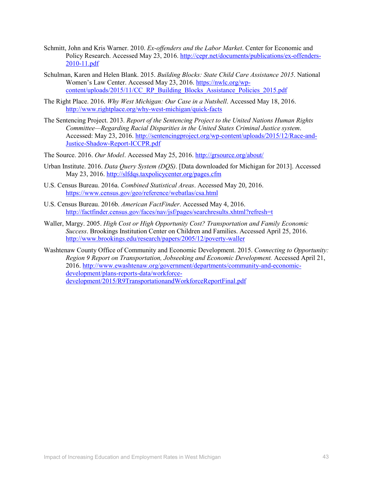- Schmitt, John and Kris Warner. 2010. *Ex-offenders and the Labor Market*. Center for Economic and Policy Research. Accessed May 23, 2016. http://cepr.net/documents/publications/ex-offenders-2010-11.pdf
- Schulman, Karen and Helen Blank. 2015. *Building Blocks: State Child Care Assistance 2015*. National Women's Law Center. Accessed May 23, 2016. https://nwlc.org/wpcontent/uploads/2015/11/CC\_RP\_Building\_Blocks\_Assistance\_Policies\_2015.pdf
- The Right Place. 2016. *Why West Michigan: Our Case in a Nutshell*. Accessed May 18, 2016. http://www.rightplace.org/why-west-michigan/quick-facts
- The Sentencing Project. 2013. *Report of the Sentencing Project to the United Nations Human Rights Committee—Regarding Racial Disparities in the United States Criminal Justice system*. Accessed: May 23, 2016. http://sentencingproject.org/wp-content/uploads/2015/12/Race-and-Justice-Shadow-Report-ICCPR.pdf

The Source. 2016. *Our Model*. Accessed May 25, 2016. http://grsource.org/about/

- Urban Institute. 2016. *Data Query System (DQS)*. [Data downloaded for Michigan for 2013]. Accessed May 23, 2016. http://slfdqs.taxpolicycenter.org/pages.cfm
- U.S. Census Bureau. 2016a. *Combined Statistical Areas*. Accessed May 20, 2016. https://www.census.gov/geo/reference/webatlas/csa.html
- U.S. Census Bureau. 2016b. *American FactFinder*. Accessed May 4, 2016. http://factfinder.census.gov/faces/nav/jsf/pages/searchresults.xhtml?refresh=t
- Waller, Margy. 2005. *High Cost or High Opportunity Cost? Transportation and Family Economic Success*. Brookings Institution Center on Children and Families. Accessed April 25, 2016. http://www.brookings.edu/research/papers/2005/12/poverty-waller

Washtenaw County Office of Community and Economic Development. 2015. *Connecting to Opportunity: Region 9 Report on Transportation, Jobseeking and Economic Development.* Accessed April 21, 2016. http://www.ewashtenaw.org/government/departments/community-and-economicdevelopment/plans-reports-data/workforcedevelopment/2015/R9TransportationandWorkforceReportFinal.pdf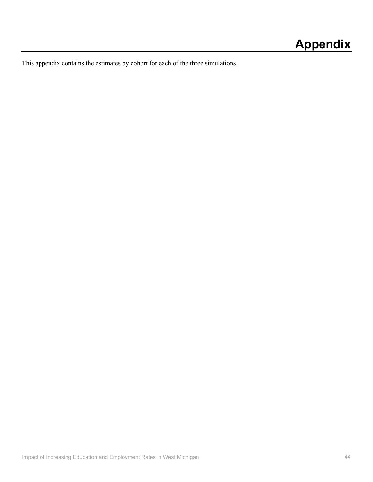This appendix contains the estimates by cohort for each of the three simulations.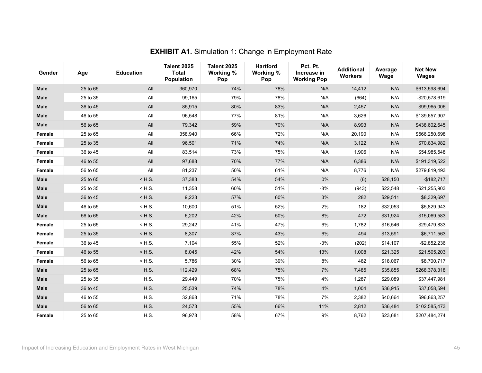| Gender      | Age      | <b>Education</b> | <b>Talent 2025</b><br><b>Total</b><br>Population | <b>Talent 2025</b><br>Working %<br>Pop | <b>Hartford</b><br>Working %<br>Pop | Pct. Pt.<br>Increase in<br><b>Working Pop</b> | <b>Additional</b><br><b>Workers</b> | Average<br>Wage | <b>Net New</b><br><b>Wages</b> |
|-------------|----------|------------------|--------------------------------------------------|----------------------------------------|-------------------------------------|-----------------------------------------------|-------------------------------------|-----------------|--------------------------------|
| <b>Male</b> | 25 to 65 | All              | 360,970                                          | 74%                                    | 78%                                 | N/A                                           | 14,412                              | N/A             | \$613,598,694                  |
| <b>Male</b> | 25 to 35 | All              | 99,165                                           | 79%                                    | 78%                                 | N/A                                           | (664)                               | N/A             | $-$20,578,619$                 |
| <b>Male</b> | 36 to 45 | All              | 85,915                                           | 80%                                    | 83%                                 | N/A                                           | 2,457                               | N/A             | \$99,965,006                   |
| <b>Male</b> | 46 to 55 | All              | 96,548                                           | 77%                                    | 81%                                 | N/A                                           | 3,626                               | N/A             | \$139,657,907                  |
| <b>Male</b> | 56 to 65 | All              | 79,342                                           | 59%                                    | 70%                                 | N/A                                           | 8,993                               | N/A             | \$438,602,645                  |
| Female      | 25 to 65 | All              | 358,940                                          | 66%                                    | 72%                                 | N/A                                           | 20,190                              | N/A             | \$566,250,698                  |
| Female      | 25 to 35 | All              | 96,501                                           | 71%                                    | 74%                                 | N/A                                           | 3,122                               | N/A             | \$70,834,982                   |
| Female      | 36 to 45 | All              | 83,514                                           | 73%                                    | 75%                                 | N/A                                           | 1,906                               | N/A             | \$54,985,548                   |
| Female      | 46 to 55 | All              | 97,688                                           | 70%                                    | 77%                                 | N/A                                           | 6,386                               | N/A             | \$191,319,522                  |
| Female      | 56 to 65 | All              | 81,237                                           | 50%                                    | 61%                                 | N/A                                           | 8,776                               | N/A             | \$279,819,493                  |
| <b>Male</b> | 25 to 65 | $<$ H.S.         | 37,383                                           | 54%                                    | 54%                                 | $0\%$                                         | (6)                                 | \$28,150        | $-$182,717$                    |
| Male        | 25 to 35 | $<$ H.S.         | 11,358                                           | 60%                                    | 51%                                 | $-8%$                                         | (943)                               | \$22,548        | $-$21,255,903$                 |
| Male        | 36 to 45 | $<$ H.S.         | 9,223                                            | 57%                                    | 60%                                 | 3%                                            | 282                                 | \$29,511        | \$8,329,697                    |
| Male        | 46 to 55 | $<$ H.S.         | 10,600                                           | 51%                                    | 52%                                 | 2%                                            | 182                                 | \$32,053        | \$5,829,943                    |
| <b>Male</b> | 56 to 65 | $<$ H.S.         | 6,202                                            | 42%                                    | 50%                                 | 8%                                            | 472                                 | \$31,924        | \$15,069,583                   |
| Female      | 25 to 65 | $<$ H.S.         | 29,242                                           | 41%                                    | 47%                                 | $6\%$                                         | 1,782                               | \$16,546        | \$29,479,833                   |
| Female      | 25 to 35 | $<$ H.S.         | 8,307                                            | 37%                                    | 43%                                 | $6\%$                                         | 494                                 | \$13,591        | \$6,711,563                    |
| Female      | 36 to 45 | $<$ H.S.         | 7,104                                            | 55%                                    | 52%                                 | $-3%$                                         | (202)                               | \$14,107        | $-$2,852,236$                  |
| Female      | 46 to 55 | $<$ H.S.         | 8,045                                            | 42%                                    | 54%                                 | 13%                                           | 1,008                               | \$21,325        | \$21,505,203                   |
| Female      | 56 to 65 | $<$ H.S.         | 5,786                                            | 30%                                    | 39%                                 | 8%                                            | 482                                 | \$18,067        | \$8,700,717                    |
| <b>Male</b> | 25 to 65 | H.S.             | 112,429                                          | 68%                                    | 75%                                 | 7%                                            | 7,485                               | \$35,855        | \$268,378,318                  |
| Male        | 25 to 35 | H.S.             | 29,449                                           | 70%                                    | 75%                                 | 4%                                            | 1,287                               | \$29,089        | \$37,447,981                   |
| Male        | 36 to 45 | H.S.             | 25,539                                           | 74%                                    | 78%                                 | 4%                                            | 1,004                               | \$36,915        | \$37,058,594                   |
| <b>Male</b> | 46 to 55 | H.S.             | 32,868                                           | 71%                                    | 78%                                 | 7%                                            | 2,382                               | \$40,664        | \$96,863,257                   |
| Male        | 56 to 65 | <b>H.S.</b>      | 24,573                                           | 55%                                    | 66%                                 | 11%                                           | 2,812                               | \$36,484        | \$102,585,473                  |
| Female      | 25 to 65 | H.S.             | 96,978                                           | 58%                                    | 67%                                 | 9%                                            | 8,762                               | \$23,681        | \$207,484,274                  |

## **EXHIBIT A1.** Simulation 1: Change in Employment Rate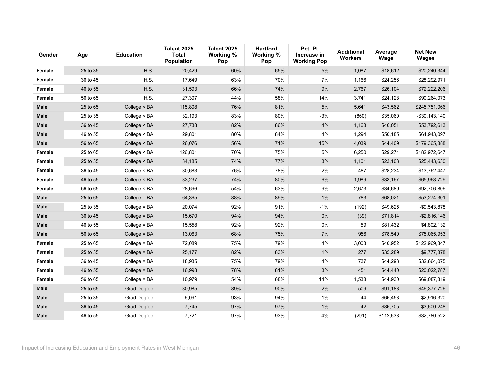| Gender      | Age      | <b>Education</b>   | <b>Talent 2025</b><br><b>Total</b><br><b>Population</b> | <b>Talent 2025</b><br>Working %<br>Pop | <b>Hartford</b><br>Working %<br>Pop | Pct. Pt.<br>Increase in<br><b>Working Pop</b> | <b>Additional</b><br><b>Workers</b> | Average<br>Wage | <b>Net New</b><br><b>Wages</b> |
|-------------|----------|--------------------|---------------------------------------------------------|----------------------------------------|-------------------------------------|-----------------------------------------------|-------------------------------------|-----------------|--------------------------------|
| Female      | 25 to 35 | H.S.               | 20,429                                                  | 60%                                    | 65%                                 | 5%                                            | 1,087                               | \$18,612        | \$20,240,344                   |
| Female      | 36 to 45 | H.S.               | 17,649                                                  | 63%                                    | 70%                                 | 7%                                            | 1,166                               | \$24,256        | \$28,292,971                   |
| Female      | 46 to 55 | H.S.               | 31,593                                                  | 66%                                    | 74%                                 | 9%                                            | 2,767                               | \$26,104        | \$72,222,206                   |
| Female      | 56 to 65 | H.S.               | 27,307                                                  | 44%                                    | 58%                                 | 14%                                           | 3,741                               | \$24,128        | \$90,264,073                   |
| <b>Male</b> | 25 to 65 | College < BA       | 115,808                                                 | 76%                                    | 81%                                 | 5%                                            | 5,641                               | \$43,562        | \$245,751,066                  |
| <b>Male</b> | 25 to 35 | College < BA       | 32,193                                                  | 83%                                    | 80%                                 | $-3%$                                         | (860)                               | \$35,060        | $-$30,143,140$                 |
| <b>Male</b> | 36 to 45 | College < BA       | 27,738                                                  | 82%                                    | 86%                                 | 4%                                            | 1,168                               | \$46,051        | \$53,792,613                   |
| <b>Male</b> | 46 to 55 | College < BA       | 29,801                                                  | 80%                                    | 84%                                 | $4\%$                                         | 1,294                               | \$50,185        | \$64,943,097                   |
| <b>Male</b> | 56 to 65 | College < BA       | 26,076                                                  | 56%                                    | 71%                                 | 15%                                           | 4,039                               | \$44,409        | \$179,365,888                  |
| Female      | 25 to 65 | College < BA       | 126,801                                                 | 70%                                    | 75%                                 | $5\%$                                         | 6,250                               | \$29,274        | \$182,972,647                  |
| Female      | 25 to 35 | College < BA       | 34,185                                                  | 74%                                    | 77%                                 | 3%                                            | 1,101                               | \$23,103        | \$25,443,630                   |
| Female      | 36 to 45 | College < BA       | 30,683                                                  | 76%                                    | 78%                                 | 2%                                            | 487                                 | \$28,234        | \$13,762,447                   |
| Female      | 46 to 55 | College < BA       | 33,237                                                  | 74%                                    | 80%                                 | 6%                                            | 1,989                               | \$33,167        | \$65,968,729                   |
| Female      | 56 to 65 | College < BA       | 28,696                                                  | 54%                                    | 63%                                 | 9%                                            | 2,673                               | \$34,689        | \$92,706,806                   |
| <b>Male</b> | 25 to 65 | College = BA       | 64,365                                                  | 88%                                    | 89%                                 | 1%                                            | 783                                 | \$68,021        | \$53,274,301                   |
| <b>Male</b> | 25 to 35 | College = BA       | 20,074                                                  | 92%                                    | 91%                                 | $-1%$                                         | (192)                               | \$49,625        | $-$9,543,878$                  |
| <b>Male</b> | 36 to 45 | College = BA       | 15,670                                                  | 94%                                    | 94%                                 | 0%                                            | (39)                                | \$71,814        | $-$2,816,146$                  |
| <b>Male</b> | 46 to 55 | $Collect = BA$     | 15,558                                                  | 92%                                    | 92%                                 | 0%                                            | 59                                  | \$81,432        | \$4,802,132                    |
| <b>Male</b> | 56 to 65 | College = BA       | 13,063                                                  | 68%                                    | 75%                                 | 7%                                            | 956                                 | \$78,540        | \$75,065,953                   |
| Female      | 25 to 65 | College = BA       | 72,089                                                  | 75%                                    | 79%                                 | $4\%$                                         | 3,003                               | \$40,952        | \$122,969,347                  |
| Female      | 25 to 35 | College = BA       | 25,177                                                  | 82%                                    | 83%                                 | 1%                                            | 277                                 | \$35,289        | \$9,777,878                    |
| Female      | 36 to 45 | College = BA       | 18,935                                                  | 75%                                    | 79%                                 | 4%                                            | 737                                 | \$44,293        | \$32,664,075                   |
| Female      | 46 to 55 | College = BA       | 16,998                                                  | 78%                                    | 81%                                 | 3%                                            | 451                                 | \$44,440        | \$20,022,787                   |
| Female      | 56 to 65 | College = BA       | 10,979                                                  | 54%                                    | 68%                                 | 14%                                           | 1,538                               | \$44,930        | \$69,087,319                   |
| <b>Male</b> | 25 to 65 | <b>Grad Degree</b> | 30,985                                                  | 89%                                    | 90%                                 | 2%                                            | 509                                 | \$91,183        | \$46,377,726                   |
| <b>Male</b> | 25 to 35 | Grad Degree        | 6,091                                                   | 93%                                    | 94%                                 | 1%                                            | 44                                  | \$66,453        | \$2,916,320                    |
| <b>Male</b> | 36 to 45 | <b>Grad Degree</b> | 7,745                                                   | 97%                                    | 97%                                 | 1%                                            | 42                                  | \$86,705        | \$3,600,248                    |
| <b>Male</b> | 46 to 55 | Grad Degree        | 7,721                                                   | 97%                                    | 93%                                 | $-4%$                                         | (291)                               | \$112,638       | $-$32,780,522$                 |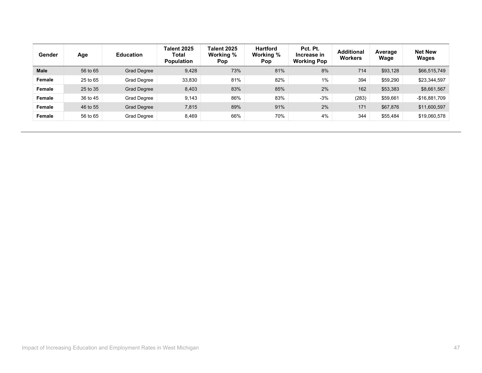| Gender        | Age      | <b>Education</b>   | <b>Talent 2025</b><br><b>Total</b><br><b>Population</b> | Talent 2025<br>Working %<br>Pop | <b>Hartford</b><br>Working %<br><b>Pop</b> | Pct. Pt.<br>Increase in<br><b>Working Pop</b> | <b>Additional</b><br><b>Workers</b> | Average<br>Wage | <b>Net New</b><br><b>Wages</b> |
|---------------|----------|--------------------|---------------------------------------------------------|---------------------------------|--------------------------------------------|-----------------------------------------------|-------------------------------------|-----------------|--------------------------------|
| <b>Male</b>   | 56 to 65 | <b>Grad Degree</b> | 9,428                                                   | 73%                             | 81%                                        | 8%                                            | 714                                 | \$93,128        | \$66,515,749                   |
| <b>Female</b> | 25 to 65 | Grad Degree        | 33,830                                                  | 81%                             | 82%                                        | $1\%$                                         | 394                                 | \$59,290        | \$23,344,597                   |
| <b>Female</b> | 25 to 35 | <b>Grad Degree</b> | 8,403                                                   | 83%                             | 85%                                        | 2%                                            | 162                                 | \$53,383        | \$8,661,567                    |
| <b>Female</b> | 36 to 45 | Grad Degree        | 9,143                                                   | 86%                             | 83%                                        | $-3%$                                         | (283)                               | \$59,661        | $-$16,881,709$                 |
| <b>Female</b> | 46 to 55 | <b>Grad Degree</b> | 7,815                                                   | 89%                             | 91%                                        | 2%                                            | 171                                 | \$67,876        | \$11,600,597                   |
| <b>Female</b> | 56 to 65 | Grad Degree        | 8,469                                                   | 66%                             | 70%                                        | 4%                                            | 344                                 | \$55,484        | \$19,060,578                   |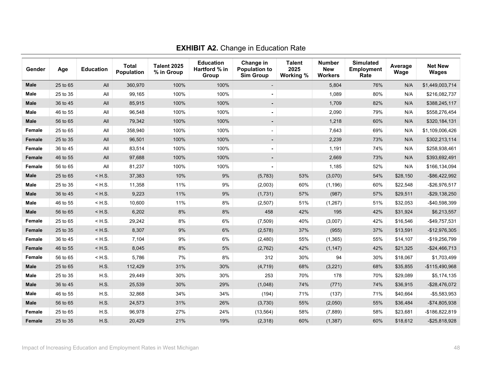| Gender      | Age      | <b>Education</b> | <b>Total</b><br>Population | <b>Talent 2025</b><br>% in Group | <b>Education</b><br>Hartford % in<br>Group | Change in<br><b>Population to</b><br><b>Sim Group</b> | <b>Talent</b><br>2025<br>Working % | <b>Number</b><br><b>New</b><br><b>Workers</b> | <b>Simulated</b><br><b>Employment</b><br>Rate | Average<br>Wage | <b>Net New</b><br><b>Wages</b> |
|-------------|----------|------------------|----------------------------|----------------------------------|--------------------------------------------|-------------------------------------------------------|------------------------------------|-----------------------------------------------|-----------------------------------------------|-----------------|--------------------------------|
| <b>Male</b> | 25 to 65 | All              | 360,970                    | 100%                             | 100%                                       |                                                       |                                    | 5,804                                         | 76%                                           | N/A             | \$1,449,003,714                |
| Male        | 25 to 35 | All              | 99,165                     | 100%                             | 100%                                       |                                                       |                                    | 1,089                                         | 80%                                           | N/A             | \$216,082,737                  |
| <b>Male</b> | 36 to 45 | All              | 85,915                     | 100%                             | 100%                                       |                                                       |                                    | 1,709                                         | 82%                                           | N/A             | \$388,245,117                  |
| Male        | 46 to 55 | $A$ ll           | 96,548                     | 100%                             | 100%                                       |                                                       |                                    | 2,090                                         | 79%                                           | N/A             | \$558,276,454                  |
| <b>Male</b> | 56 to 65 | All              | 79,342                     | 100%                             | 100%                                       | $\blacksquare$                                        |                                    | 1,218                                         | 60%                                           | N/A             | \$320,184,131                  |
| Female      | 25 to 65 | All              | 358,940                    | 100%                             | 100%                                       |                                                       |                                    | 7,643                                         | 69%                                           | N/A             | \$1,109,006,426                |
| Female      | 25 to 35 | All              | 96,501                     | 100%                             | 100%                                       | $\blacksquare$                                        |                                    | 2,239                                         | 73%                                           | N/A             | \$302,213,114                  |
| Female      | 36 to 45 | All              | 83,514                     | 100%                             | 100%                                       | $\blacksquare$                                        |                                    | 1,191                                         | 74%                                           | N/A             | \$258,938,461                  |
| Female      | 46 to 55 | All              | 97,688                     | 100%                             | 100%                                       | $\blacksquare$                                        |                                    | 2,669                                         | 73%                                           | N/A             | \$393,692,491                  |
| Female      | 56 to 65 | All              | 81,237                     | 100%                             | 100%                                       |                                                       |                                    | 1,185                                         | 52%                                           | N/A             | \$166,134,094                  |
| <b>Male</b> | 25 to 65 | $<$ H.S.         | 37,383                     | 10%                              | 9%                                         | (5,783)                                               | 53%                                | (3,070)                                       | 54%                                           | \$28,150        | -\$86,422,992                  |
| <b>Male</b> | 25 to 35 | $<$ H.S.         | 11,358                     | 11%                              | 9%                                         | (2,003)                                               | 60%                                | (1, 196)                                      | 60%                                           | \$22,548        | $-$26,976,517$                 |
| <b>Male</b> | 36 to 45 | $<$ H.S.         | 9,223                      | 11%                              | 9%                                         | (1,731)                                               | 57%                                | (987)                                         | 57%                                           | \$29,511        | -\$29,138,250                  |
| <b>Male</b> | 46 to 55 | $<$ H.S.         | 10,600                     | 11%                              | 8%                                         | (2,507)                                               | 51%                                | (1, 267)                                      | 51%                                           | \$32,053        | -\$40,598,399                  |
| <b>Male</b> | 56 to 65 | $<$ H.S.         | 6,202                      | 8%                               | 8%                                         | 458                                                   | 42%                                | 195                                           | 42%                                           | \$31,924        | \$6,213,557                    |
| Female      | 25 to 65 | $<$ H.S.         | 29,242                     | 8%                               | 6%                                         | (7,509)                                               | 40%                                | (3,007)                                       | 42%                                           | \$16,546        | $-$49,757,531$                 |
| Female      | 25 to 35 | $<$ H.S.         | 8,307                      | 9%                               | 6%                                         | (2, 578)                                              | 37%                                | (955)                                         | 37%                                           | \$13,591        | -\$12,976,305                  |
| Female      | 36 to 45 | $<$ H.S.         | 7,104                      | 9%                               | 6%                                         | (2,480)                                               | 55%                                | (1, 365)                                      | 55%                                           | \$14,107        | -\$19,256,799                  |
| Female      | 46 to 55 | $<$ H.S.         | 8,045                      | 8%                               | 5%                                         | (2,762)                                               | 42%                                | (1, 147)                                      | 42%                                           | \$21,325        | $-$24,466,713$                 |
| Female      | 56 to 65 | $<$ H.S.         | 5,786                      | 7%                               | 8%                                         | 312                                                   | 30%                                | 94                                            | 30%                                           | \$18,067        | \$1,703,499                    |
| <b>Male</b> | 25 to 65 | H.S.             | 112,429                    | 31%                              | 30%                                        | (4, 719)                                              | 68%                                | (3,221)                                       | 68%                                           | \$35,855        | -\$115,490,968                 |
| Male        | 25 to 35 | H.S.             | 29,449                     | 30%                              | 30%                                        | 253                                                   | 70%                                | 178                                           | 70%                                           | \$29,089        | \$5,174,135                    |
| <b>Male</b> | 36 to 45 | H.S.             | 25,539                     | 30%                              | 29%                                        | (1,048)                                               | 74%                                | (771)                                         | 74%                                           | \$36,915        | $-$ \$28,476,072               |
| Male        | 46 to 55 | H.S.             | 32,868                     | 34%                              | 34%                                        | (194)                                                 | 71%                                | (137)                                         | 71%                                           | \$40,664        | $-$5,583,953$                  |
| <b>Male</b> | 56 to 65 | H.S.             | 24,573                     | 31%                              | 26%                                        | (3,730)                                               | 55%                                | (2,050)                                       | 55%                                           | \$36,484        | -\$74,805,938                  |
| Female      | 25 to 65 | H.S.             | 96,978                     | 27%                              | 24%                                        | (13, 564)                                             | 58%                                | (7,889)                                       | 58%                                           | \$23,681        | -\$186,822,819                 |
| Female      | 25 to 35 | H.S.             | 20,429                     | 21%                              | 19%                                        | (2,318)                                               | 60%                                | (1, 387)                                      | 60%                                           | \$18,612        | $-$ \$25,818,928               |

**EXHIBIT A2.** Change in Education Rate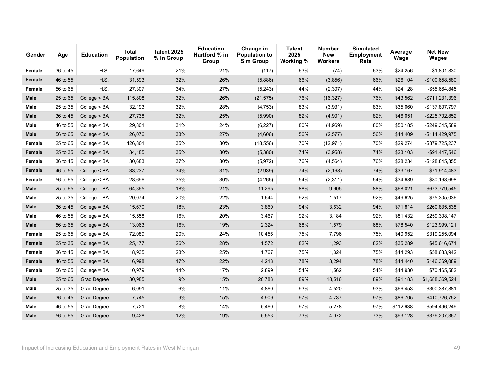| Gender      | Age      | <b>Education</b>   | Total<br><b>Population</b> | <b>Talent 2025</b><br>% in Group | <b>Education</b><br>Hartford % in<br>Group | Change in<br><b>Population to</b><br><b>Sim Group</b> | <b>Talent</b><br>2025<br>Working % | Number<br><b>New</b><br><b>Workers</b> | <b>Simulated</b><br><b>Employment</b><br>Rate | Average<br>Wage | <b>Net New</b><br><b>Wages</b> |
|-------------|----------|--------------------|----------------------------|----------------------------------|--------------------------------------------|-------------------------------------------------------|------------------------------------|----------------------------------------|-----------------------------------------------|-----------------|--------------------------------|
| Female      | 36 to 45 | H.S.               | 17,649                     | 21%                              | 21%                                        | (117)                                                 | 63%                                | (74)                                   | 63%                                           | \$24,256        | $-$1,801,830$                  |
| Female      | 46 to 55 | H.S.               | 31,593                     | 32%                              | 26%                                        | (5,886)                                               | 66%                                | (3,856)                                | 66%                                           | \$26,104        | -\$100,658,580                 |
| Female      | 56 to 65 | H.S.               | 27,307                     | 34%                              | 27%                                        | (5, 243)                                              | 44%                                | (2,307)                                | 44%                                           | \$24,128        | -\$55,664,845                  |
| Male        | 25 to 65 | College $<$ BA     | 115,808                    | 32%                              | 26%                                        | (21, 575)                                             | 76%                                | (16, 327)                              | 76%                                           | \$43,562        | $-$711,231,396$                |
| Male        | 25 to 35 | College < BA       | 32,193                     | 32%                              | 28%                                        | (4,753)                                               | 83%                                | (3,931)                                | 83%                                           | \$35,060        | -\$137,807,797                 |
| Male        | 36 to 45 | College $<$ BA     | 27,738                     | 32%                              | 25%                                        | (5,990)                                               | 82%                                | (4,901)                                | 82%                                           | \$46,051        | -\$225,702,852                 |
| Male        | 46 to 55 | College < BA       | 29,801                     | 31%                              | 24%                                        | (6, 227)                                              | 80%                                | (4,969)                                | 80%                                           | \$50,185        | -\$249,345,589                 |
| <b>Male</b> | 56 to 65 | College < BA       | 26,076                     | 33%                              | 27%                                        | (4,606)                                               | 56%                                | (2, 577)                               | 56%                                           | \$44,409        | $-$114,429,975$                |
| Female      | 25 to 65 | College < BA       | 126,801                    | 35%                              | 30%                                        | (18, 556)                                             | 70%                                | (12, 971)                              | 70%                                           | \$29,274        | -\$379,725,237                 |
| Female      | 25 to 35 | College < BA       | 34,185                     | 35%                              | 30%                                        | (5,380)                                               | 74%                                | (3,958)                                | 74%                                           | \$23,103        | -\$91,447,546                  |
| Female      | 36 to 45 | College $<$ BA     | 30,683                     | 37%                              | 30%                                        | (5, 972)                                              | 76%                                | (4, 564)                               | 76%                                           | \$28,234        | $-$128,845,355$                |
| Female      | 46 to 55 | College < BA       | 33,237                     | 34%                              | 31%                                        | (2,939)                                               | 74%                                | (2, 168)                               | 74%                                           | \$33,167        | $-$71,914,483$                 |
| Female      | 56 to 65 | College < BA       | 28,696                     | 35%                              | 30%                                        | (4, 265)                                              | 54%                                | (2, 311)                               | 54%                                           | \$34,689        | -\$80,168,698                  |
| Male        | 25 to 65 | College = BA       | 64,365                     | 18%                              | 21%                                        | 11,295                                                | 88%                                | 9,905                                  | 88%                                           | \$68,021        | \$673,779,545                  |
| <b>Male</b> | 25 to 35 | $Collect = BA$     | 20,074                     | 20%                              | 22%                                        | 1,644                                                 | 92%                                | 1,517                                  | 92%                                           | \$49,625        | \$75,305,036                   |
| Male        | 36 to 45 | College = BA       | 15,670                     | 18%                              | 23%                                        | 3,860                                                 | 94%                                | 3,632                                  | 94%                                           | \$71,814        | \$260,835,538                  |
| Male        | 46 to 55 | College = BA       | 15,558                     | 16%                              | 20%                                        | 3,467                                                 | 92%                                | 3,184                                  | 92%                                           | \$81,432        | \$259,308,147                  |
| <b>Male</b> | 56 to 65 | College = BA       | 13,063                     | 16%                              | 19%                                        | 2,324                                                 | 68%                                | 1,579                                  | 68%                                           | \$78,540        | \$123,999,121                  |
| Female      | 25 to 65 | College = BA       | 72,089                     | 20%                              | 24%                                        | 10,456                                                | 75%                                | 7,796                                  | 75%                                           | \$40,952        | \$319,255,094                  |
| Female      | 25 to 35 | College = BA       | 25,177                     | 26%                              | 28%                                        | 1,572                                                 | 82%                                | 1,293                                  | 82%                                           | \$35,289        | \$45,616,671                   |
| Female      | 36 to 45 | College = BA       | 18,935                     | 23%                              | 25%                                        | 1,767                                                 | 75%                                | 1,324                                  | 75%                                           | \$44,293        | \$58,633,942                   |
| Female      | 46 to 55 | College = BA       | 16,998                     | 17%                              | 22%                                        | 4,218                                                 | 78%                                | 3,294                                  | 78%                                           | \$44,440        | \$146,369,089                  |
| Female      | 56 to 65 | $Collect = BA$     | 10,979                     | 14%                              | 17%                                        | 2,899                                                 | 54%                                | 1,562                                  | 54%                                           | \$44,930        | \$70,165,582                   |
| <b>Male</b> | 25 to 65 | <b>Grad Degree</b> | 30,985                     | 9%                               | 15%                                        | 20,783                                                | 89%                                | 18,516                                 | 89%                                           | \$91,183        | \$1,688,369,524                |
| <b>Male</b> | 25 to 35 | Grad Degree        | 6,091                      | 6%                               | 11%                                        | 4,860                                                 | 93%                                | 4,520                                  | 93%                                           | \$66,453        | \$300,387,881                  |
| <b>Male</b> | 36 to 45 | <b>Grad Degree</b> | 7,745                      | 9%                               | 15%                                        | 4,909                                                 | 97%                                | 4,737                                  | 97%                                           | \$86,705        | \$410,726,752                  |
| <b>Male</b> | 46 to 55 | Grad Degree        | 7,721                      | 8%                               | 14%                                        | 5,460                                                 | 97%                                | 5,278                                  | 97%                                           | \$112,638       | \$594,496,249                  |
| <b>Male</b> | 56 to 65 | <b>Grad Degree</b> | 9,428                      | 12%                              | 19%                                        | 5,553                                                 | 73%                                | 4,072                                  | 73%                                           | \$93,128        | \$379,207,367                  |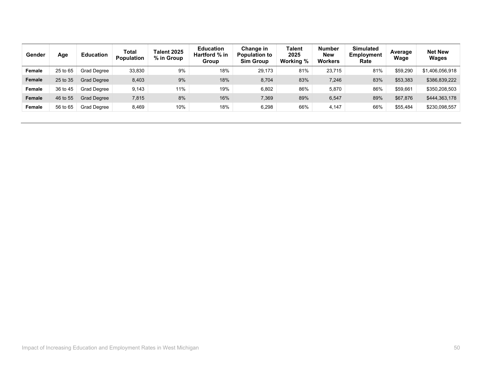| Gender        | Age      | <b>Education</b>   | Total<br><b>Population</b> | Talent 2025<br>% in Group | <b>Education</b><br>Hartford % in<br>Group | Change in<br><b>Population to</b><br><b>Sim Group</b> | <b>Talent</b><br>2025<br>Working % | <b>Number</b><br><b>New</b><br>Workers | <b>Simulated</b><br>Employment<br>Rate | Average<br>Wage | <b>Net New</b><br><b>Wages</b> |
|---------------|----------|--------------------|----------------------------|---------------------------|--------------------------------------------|-------------------------------------------------------|------------------------------------|----------------------------------------|----------------------------------------|-----------------|--------------------------------|
| Female        | 25 to 65 | Grad Degree        | 33,830                     | 9%                        | 18%                                        | 29,173                                                | 81%                                | 23,715                                 | 81%                                    | \$59,290        | \$1,406,056,918                |
| Female        | 25 to 35 | <b>Grad Degree</b> | 8,403                      | 9%                        | 18%                                        | 8,704                                                 | 83%                                | 7,246                                  | 83%                                    | \$53,383        | \$386,839,222                  |
| Female        | 36 to 45 | Grad Degree        | 9.143                      | 11%                       | 19%                                        | 6,802                                                 | 86%                                | 5,870                                  | 86%                                    | \$59,661        | \$350,208,503                  |
| <b>Female</b> | 46 to 55 | Grad Degree        | 7,815                      | 8%                        | 16%                                        | 7,369                                                 | 89%                                | 6,547                                  | 89%                                    | \$67,876        | \$444,363,178                  |
| Female        | 56 to 65 | Grad Degree        | 8.469                      | 10%                       | 18%                                        | 6,298                                                 | 66%                                | 4,147                                  | 66%                                    | \$55,484        | \$230,098,557                  |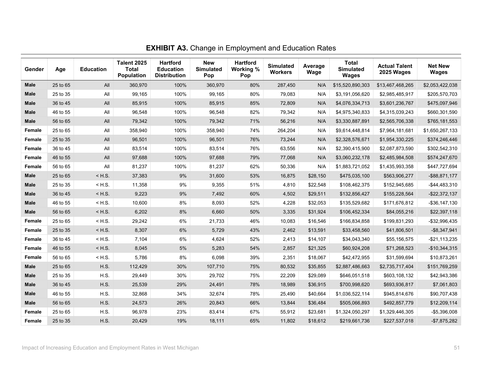| Gender      | Age      | <b>Education</b> | <b>Talent 2025</b><br><b>Total</b><br><b>Population</b> | <b>Hartford</b><br><b>Education</b><br><b>Distribution</b> | <b>New</b><br><b>Simulated</b><br>Pop | <b>Hartford</b><br>Working %<br>Pop | <b>Simulated</b><br><b>Workers</b> | Average<br>Wage | <b>Total</b><br><b>Simulated</b><br><b>Wages</b> | <b>Actual Talent</b><br>2025 Wages | <b>Net New</b><br><b>Wages</b> |
|-------------|----------|------------------|---------------------------------------------------------|------------------------------------------------------------|---------------------------------------|-------------------------------------|------------------------------------|-----------------|--------------------------------------------------|------------------------------------|--------------------------------|
| <b>Male</b> | 25 to 65 | All              | 360,970                                                 | 100%                                                       | 360,970                               | 80%                                 | 287,450                            | N/A             | \$15,520,890,303                                 | \$13,467,468,265                   | \$2,053,422,038                |
| <b>Male</b> | 25 to 35 | All              | 99,165                                                  | 100%                                                       | 99,165                                | 80%                                 | 79,083                             | N/A             | \$3,191,056,620                                  | \$2,985,485,917                    | \$205,570,703                  |
| <b>Male</b> | 36 to 45 | All              | 85,915                                                  | 100%                                                       | 85,915                                | 85%                                 | 72,809                             | N/A             | \$4,076,334,713                                  | \$3,601,236,767                    | \$475,097,946                  |
| <b>Male</b> | 46 to 55 | All              | 96,548                                                  | 100%                                                       | 96,548                                | 82%                                 | 79,342                             | N/A             | \$4,975,340,833                                  | \$4,315,039,243                    | \$660,301,590                  |
| <b>Male</b> | 56 to 65 | All              | 79,342                                                  | 100%                                                       | 79,342                                | 71%                                 | 56,216                             | N/A             | \$3,330,887,891                                  | \$2,565,706,338                    | \$765,181,553                  |
| Female      | 25 to 65 | All              | 358,940                                                 | 100%                                                       | 358,940                               | 74%                                 | 264,204                            | N/A             | \$9,614,448,814                                  | \$7,964,181,681                    | \$1,650,267,133                |
| Female      | 25 to 35 | All              | 96,501                                                  | 100%                                                       | 96,501                                | 76%                                 | 73,244                             | N/A             | \$2,328,576,671                                  | \$1,954,330,225                    | \$374,246,446                  |
| Female      | 36 to 45 | All              | 83,514                                                  | 100%                                                       | 83,514                                | 76%                                 | 63,556                             | N/A             | \$2,390,415,900                                  | \$2,087,873,590                    | \$302,542,310                  |
| Female      | 46 to 55 | All              | 97,688                                                  | 100%                                                       | 97,688                                | 79%                                 | 77,068                             | N/A             | \$3,060,232,178                                  | \$2,485,984,508                    | \$574,247,670                  |
| Female      | 56 to 65 | All              | 81,237                                                  | 100%                                                       | 81,237                                | 62%                                 | 50,336                             | N/A             | \$1,883,721,052                                  | \$1,435,993,358                    | \$447,727,694                  |
| <b>Male</b> | 25 to 65 | $<$ H.S.         | 37,383                                                  | 9%                                                         | 31,600                                | 53%                                 | 16,875                             | \$28,150        | \$475,035,100                                    | \$563,906,277                      | $-$ \$88,871,177               |
| Male        | 25 to 35 | $<$ H.S.         | 11,358                                                  | $9%$                                                       | 9,355                                 | 51%                                 | 4,810                              | \$22,548        | \$108,462,375                                    | \$152,945,685                      | $-$44,483,310$                 |
| <b>Male</b> | 36 to 45 | $<$ H.S.         | 9,223                                                   | 9%                                                         | 7,492                                 | 60%                                 | 4,502                              | \$29,511        | \$132,856,427                                    | \$155,228,564                      | $-$ \$22,372,137               |
| <b>Male</b> | 46 to 55 | $<$ H.S.         | 10,600                                                  | $8\%$                                                      | 8,093                                 | 52%                                 | 4,228                              | \$32,053        | \$135,529,682                                    | \$171,676,812                      | $-$ \$36,147,130               |
| <b>Male</b> | 56 to 65 | $<$ H.S.         | 6,202                                                   | 8%                                                         | 6,660                                 | 50%                                 | 3,335                              | \$31,924        | \$106,452,334                                    | \$84,055,216                       | \$22,397,118                   |
| Female      | 25 to 65 | $<$ H.S.         | 29,242                                                  | 6%                                                         | 21,733                                | 46%                                 | 10,083                             | \$16,546        | \$166,834,858                                    | \$199,831,293                      | -\$32,996,435                  |
| Female      | 25 to 35 | $<$ H.S.         | 8,307                                                   | 6%                                                         | 5,729                                 | 43%                                 | 2,462                              | \$13,591        | \$33,458,560                                     | \$41,806,501                       | $-$8,347,941$                  |
| Female      | 36 to 45 | $<$ H.S.         | 7,104                                                   | $6\%$                                                      | 4,624                                 | 52%                                 | 2,413                              | \$14,107        | \$34,043,340                                     | \$55,156,575                       | $-$ \$21,113,235               |
| Female      | 46 to 55 | $<$ H.S.         | 8,045                                                   | 5%                                                         | 5,283                                 | 54%                                 | 2,857                              | \$21,325        | \$60,924,208                                     | \$71,268,523                       | $-$10,344,315$                 |
| Female      | 56 to 65 | $<$ H.S.         | 5,786                                                   | 8%                                                         | 6,098                                 | 39%                                 | 2,351                              | \$18,067        | \$42,472,955                                     | \$31,599,694                       | \$10,873,261                   |
| <b>Male</b> | 25 to 65 | H.S.             | 112,429                                                 | 30%                                                        | 107,710                               | 75%                                 | 80,532                             | \$35,855        | \$2,887,486,663                                  | \$2,735,717,404                    | \$151,769,259                  |
| <b>Male</b> | 25 to 35 | H.S.             | 29,449                                                  | 30%                                                        | 29,702                                | 75%                                 | 22,209                             | \$29,089        | \$646,051,518                                    | \$603,108,132                      | \$42,943,386                   |
| <b>Male</b> | 36 to 45 | H.S.             | 25,539                                                  | 29%                                                        | 24,491                                | 78%                                 | 18,989                             | \$36,915        | \$700,998,620                                    | \$693,936,817                      | \$7,061,803                    |
| <b>Male</b> | 46 to 55 | H.S.             | 32,868                                                  | 34%                                                        | 32,674                                | 78%                                 | 25,490                             | \$40,664        | \$1,036,522,114                                  | \$945,814,676                      | \$90,707,438                   |
| <b>Male</b> | 56 to 65 | H.S.             | 24,573                                                  | 26%                                                        | 20,843                                | 66%                                 | 13,844                             | \$36,484        | \$505,066,893                                    | \$492,857,779                      | \$12,209,114                   |
| Female      | 25 to 65 | H.S.             | 96,978                                                  | 23%                                                        | 83,414                                | 67%                                 | 55,912                             | \$23,681        | \$1,324,050,297                                  | \$1,329,446,305                    | $-$5,396,008$                  |
| Female      | 25 to 35 | H.S.             | 20,429                                                  | 19%                                                        | 18,111                                | 65%                                 | 11,802                             | \$18,612        | \$219,661,736                                    | \$227,537,018                      | $-$7,875,282$                  |

**EXHIBIT A3.** Change in Employment and Education Rates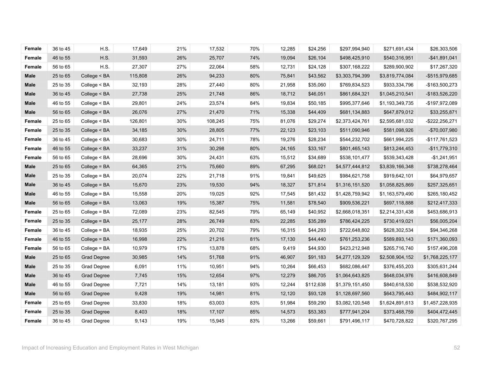| Female      | 36 to 45 | H.S.               | 17,649  | 21% | 17,532  | 70% | 12,285 | \$24,256  | \$297,994,940   | \$271,691,434   | \$26,303,506    |
|-------------|----------|--------------------|---------|-----|---------|-----|--------|-----------|-----------------|-----------------|-----------------|
| Female      | 46 to 55 | H.S.               | 31,593  | 26% | 25,707  | 74% | 19,094 | \$26,104  | \$498,425,910   | \$540,316,951   | $-$41,891,041$  |
| Female      | 56 to 65 | H.S.               | 27,307  | 27% | 22,064  | 58% | 12,731 | \$24,128  | \$307,168,222   | \$289,900,902   | \$17,267,320    |
| Male        | 25 to 65 | College $<$ BA     | 115,808 | 26% | 94,233  | 80% | 75,841 | \$43,562  | \$3,303,794,399 | \$3,819,774,084 | -\$515,979,685  |
| Male        | 25 to 35 | College < BA       | 32,193  | 28% | 27,440  | 80% | 21,958 | \$35,060  | \$769,834,523   | \$933,334,796   | -\$163,500,273  |
| Male        | 36 to 45 | College < BA       | 27,738  | 25% | 21,748  | 86% | 18,712 | \$46,051  | \$861,684,321   | \$1,045,210,541 | -\$183,526,220  |
| <b>Male</b> | 46 to 55 | College < BA       | 29,801  | 24% | 23,574  | 84% | 19,834 | \$50,185  | \$995,377,646   | \$1,193,349,735 | -\$197,972,089  |
| Male        | 56 to 65 | College < BA       | 26,076  | 27% | 21,470  | 71% | 15,338 | \$44,409  | \$681,134,883   | \$647,879,012   | \$33,255,871    |
| Female      | 25 to 65 | College < BA       | 126,801 | 30% | 108,245 | 75% | 81,076 | \$29,274  | \$2,373,424,761 | \$2,595,681,032 | -\$222,256,271  |
| Female      | 25 to 35 | College < BA       | 34,185  | 30% | 28,805  | 77% | 22,123 | \$23,103  | \$511,090,946   | \$581,098,926   | -\$70,007,980   |
| Female      | 36 to 45 | College < BA       | 30,683  | 30% | 24,711  | 78% | 19,276 | \$28,234  | \$544,232,702   | \$661,994,225   | -\$117,761,523  |
| Female      | 46 to 55 | College < BA       | 33,237  | 31% | 30,298  | 80% | 24,165 | \$33,167  | \$801,465,143   | \$813,244,453   | $-$11,779,310$  |
| Female      | 56 to 65 | College < BA       | 28,696  | 30% | 24,431  | 63% | 15,512 | \$34,689  | \$538,101,477   | \$539,343,428   | $-$1,241,951$   |
| <b>Male</b> | 25 to 65 | College = BA       | 64,365  | 21% | 75,660  | 89% | 67,295 | \$68,021  | \$4,577,444,812 | \$3,839,166,348 | \$738,278,464   |
| Male        | 25 to 35 | College = BA       | 20,074  | 22% | 21,718  | 91% | 19,841 | \$49,625  | \$984,621,758   | \$919,642,101   | \$64,979,657    |
| Male        | 36 to 45 | College = BA       | 15,670  | 23% | 19,530  | 94% | 18,327 | \$71,814  | \$1,316,151,520 | \$1,058,825,869 | \$257,325,651   |
| Male        | 46 to 55 | College = BA       | 15,558  | 20% | 19,025  | 92% | 17,545 | \$81,432  | \$1,428,759,942 | \$1,163,579,490 | \$265,180,452   |
| Male        | 56 to 65 | College = BA       | 13,063  | 19% | 15,387  | 75% | 11,581 | \$78,540  | \$909,536,221   | \$697,118,888   | \$212,417,333   |
| Female      | 25 to 65 | College = BA       | 72,089  | 23% | 82,545  | 79% | 65,149 | \$40,952  | \$2,668,018,351 | \$2,214,331,438 | \$453,686,913   |
| Female      | 25 to 35 | College = BA       | 25,177  | 28% | 26,749  | 83% | 22,285 | \$35,289  | \$786,424,225   | \$730,419,021   | \$56,005,204    |
| Female      | 36 to 45 | College = BA       | 18,935  | 25% | 20,702  | 79% | 16,315 | \$44,293  | \$722,648,802   | \$628,302,534   | \$94,346,268    |
| Female      | 46 to 55 | College = BA       | 16,998  | 22% | 21,216  | 81% | 17,130 | \$44,440  | \$761,253,236   | \$589,893,143   | \$171,360,093   |
| Female      | 56 to 65 | College = BA       | 10,979  | 17% | 13,878  | 68% | 9,419  | \$44,930  | \$423,212,948   | \$265,716,740   | \$157,496,208   |
| Male        | 25 to 65 | <b>Grad Degree</b> | 30,985  | 14% | 51,768  | 91% | 46,907 | \$91,183  | \$4,277,129,329 | \$2,508,904,152 | \$1,768,225,177 |
| Male        | 25 to 35 | Grad Degree        | 6,091   | 11% | 10,951  | 94% | 10,264 | \$66,453  | \$682,086,447   | \$376,455,203   | \$305,631,244   |
| Male        | 36 to 45 | <b>Grad Degree</b> | 7,745   | 15% | 12,654  | 97% | 12,279 | \$86,705  | \$1,064,643,825 | \$648,034,976   | \$416,608,849   |
| <b>Male</b> | 46 to 55 | Grad Degree        | 7,721   | 14% | 13,181  | 93% | 12,244 | \$112,638 | \$1,379,151,450 | \$840,618,530   | \$538,532,920   |
| Male        | 56 to 65 | <b>Grad Degree</b> | 9,428   | 19% | 14,981  | 81% | 12,120 | \$93,128  | \$1,128,697,560 | \$643,795,443   | \$484,902,117   |
| Female      | 25 to 65 | Grad Degree        | 33,830  | 18% | 63,003  | 83% | 51,984 | \$59,290  | \$3,082,120,548 | \$1,624,891,613 | \$1,457,228,935 |
| Female      | 25 to 35 | <b>Grad Degree</b> | 8,403   | 18% | 17,107  | 85% | 14,573 | \$53,383  | \$777,941,204   | \$373,468,759   | \$404,472,445   |
| Female      | 36 to 45 | Grad Degree        | 9,143   | 19% | 15,945  | 83% | 13,266 | \$59,661  | \$791,496,117   | \$470,728,822   | \$320,767,295   |